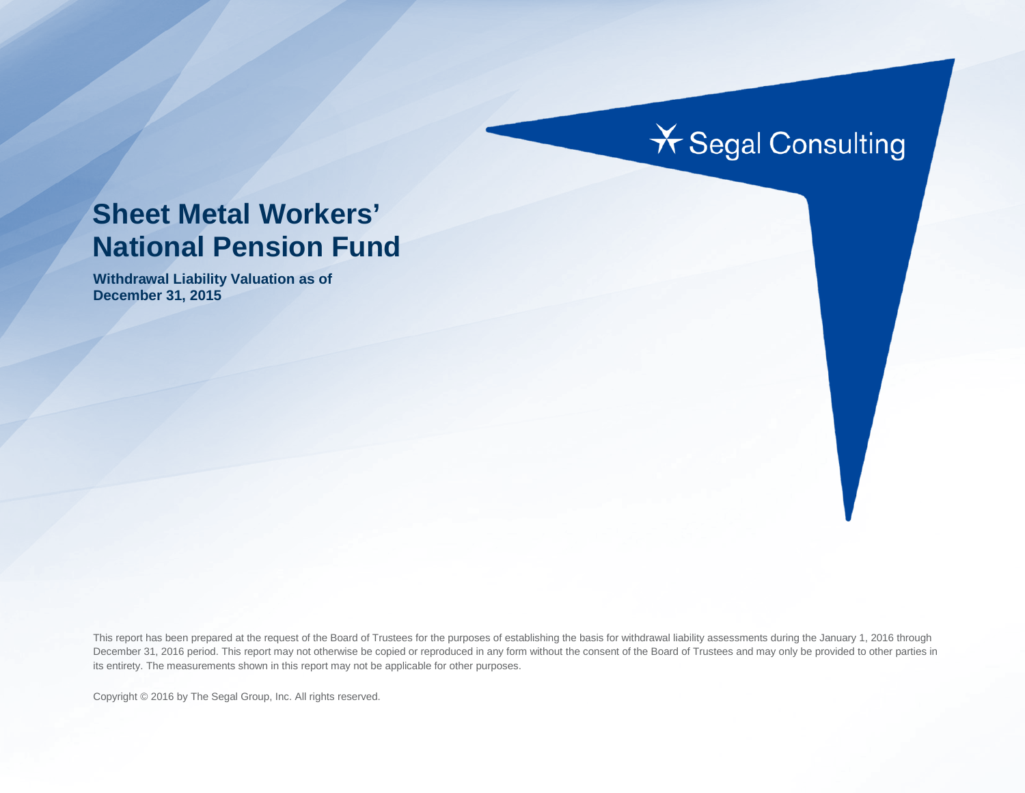# **X** Segal Consulting

## **Sheet Metal Workers' National Pension Fund**

**Withdrawal Liability Valuation as of December 31, 2015**

This report has been prepared at the request of the Board of Trustees for the purposes of establishing the basis for withdrawal liability assessments during the January 1, 2016 through December 31, 2016 period. This report may not otherwise be copied or reproduced in any form without the consent of the Board of Trustees and may only be provided to other parties in its entirety. The measurements shown in this report may not be applicable for other purposes.

Copyright © 2016 by The Segal Group, Inc. All rights reserved.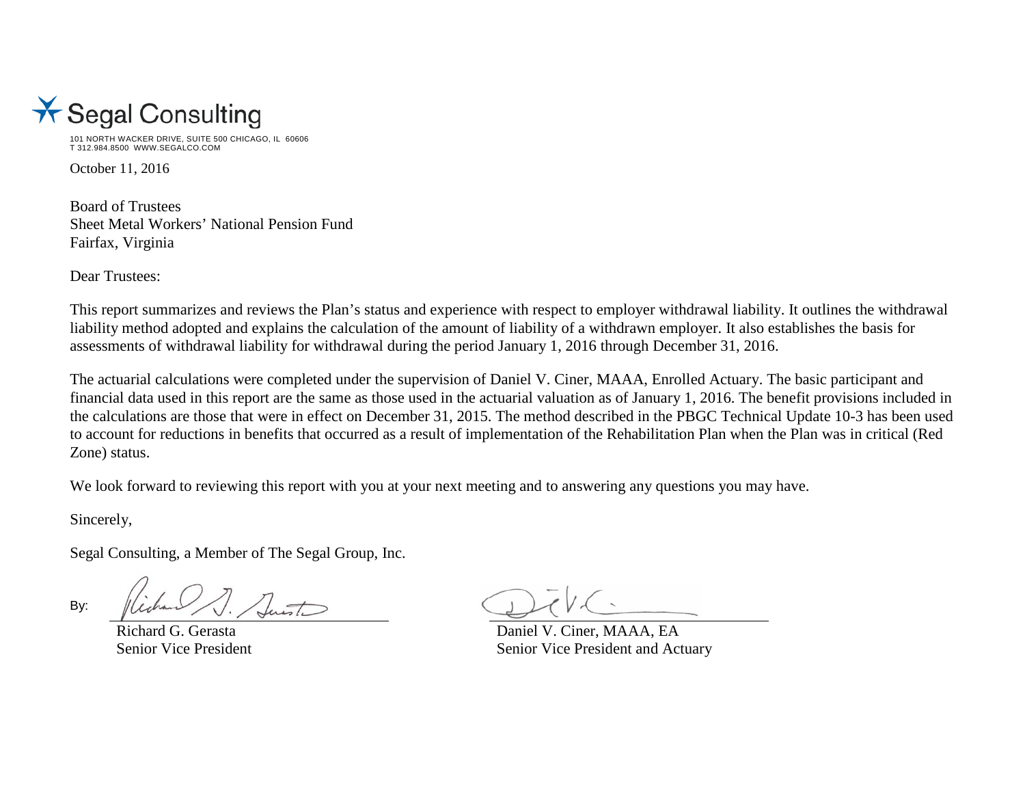

101 NORTH WACKER DRIVE, SUITE 500 CHICAGO, IL 60606 T 312.984.8500 WWW.SEGALCO.COM

October 11, 2016

Board of Trustees Sheet Metal Workers' National Pension Fund Fairfax, Virginia

Dear Trustees:

This report summarizes and reviews the Plan's status and experience with respect to employer withdrawal liability. It outlines the withdrawal liability method adopted and explains the calculation of the amount of liability of a withdrawn employer. It also establishes the basis for assessments of withdrawal liability for withdrawal during the period January 1, 2016 through December 31, 2016.

The actuarial calculations were completed under the supervision of Daniel V. Ciner, MAAA, Enrolled Actuary. The basic participant and financial data used in this report are the same as those used in the actuarial valuation as of January 1, 2016. The benefit provisions included in the calculations are those that were in effect on December 31, 2015. The method described in the PBGC Technical Update 10-3 has been used to account for reductions in benefits that occurred as a result of implementation of the Rehabilitation Plan when the Plan was in critical (Red Zone) status.

We look forward to reviewing this report with you at your next meeting and to answering any questions you may have.

Sincerely,

Segal Consulting, a Member of The Segal Group, Inc.

By:

Richard G. Gerasta Daniel V. Ciner, MAAA, EA Senior Vice President Senior Vice President and Actuary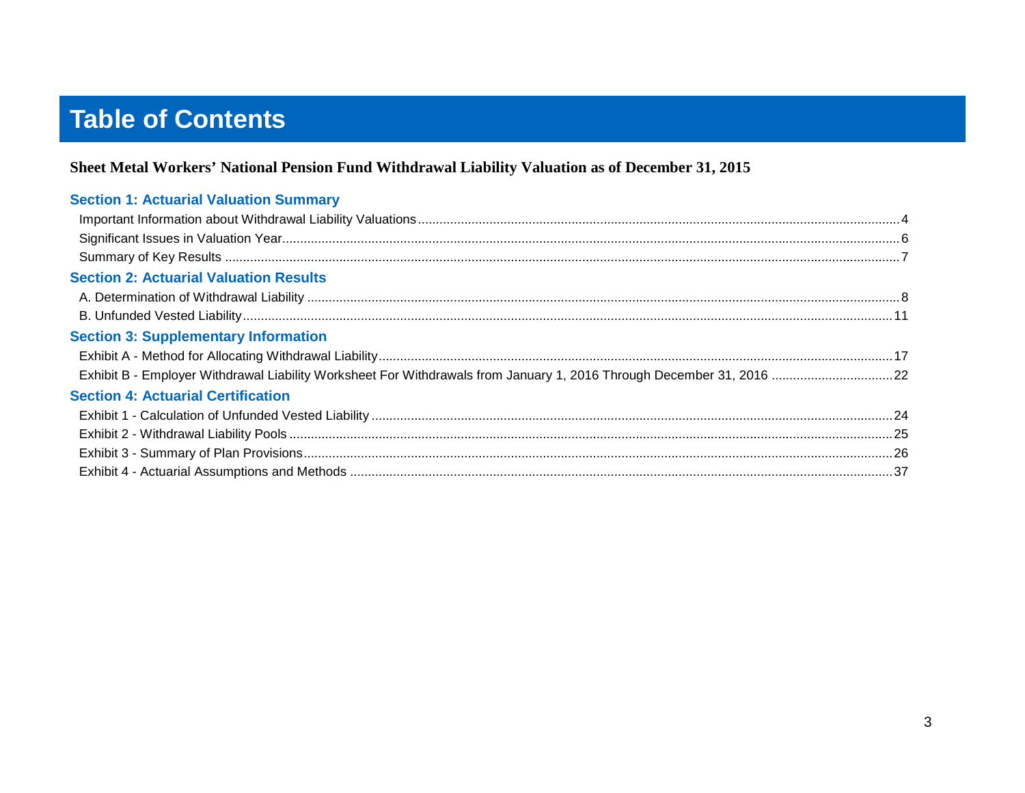## **Table of Contents**

#### Sheet Metal Workers' National Pension Fund Withdrawal Liability Valuation as of December 31, 2015

| <b>Section 1: Actuarial Valuation Summary</b> |  |
|-----------------------------------------------|--|
|                                               |  |
|                                               |  |
|                                               |  |
| <b>Section 2: Actuarial Valuation Results</b> |  |
|                                               |  |
|                                               |  |
| <b>Section 3: Supplementary Information</b>   |  |
|                                               |  |
|                                               |  |
| <b>Section 4: Actuarial Certification</b>     |  |
|                                               |  |
|                                               |  |
|                                               |  |
|                                               |  |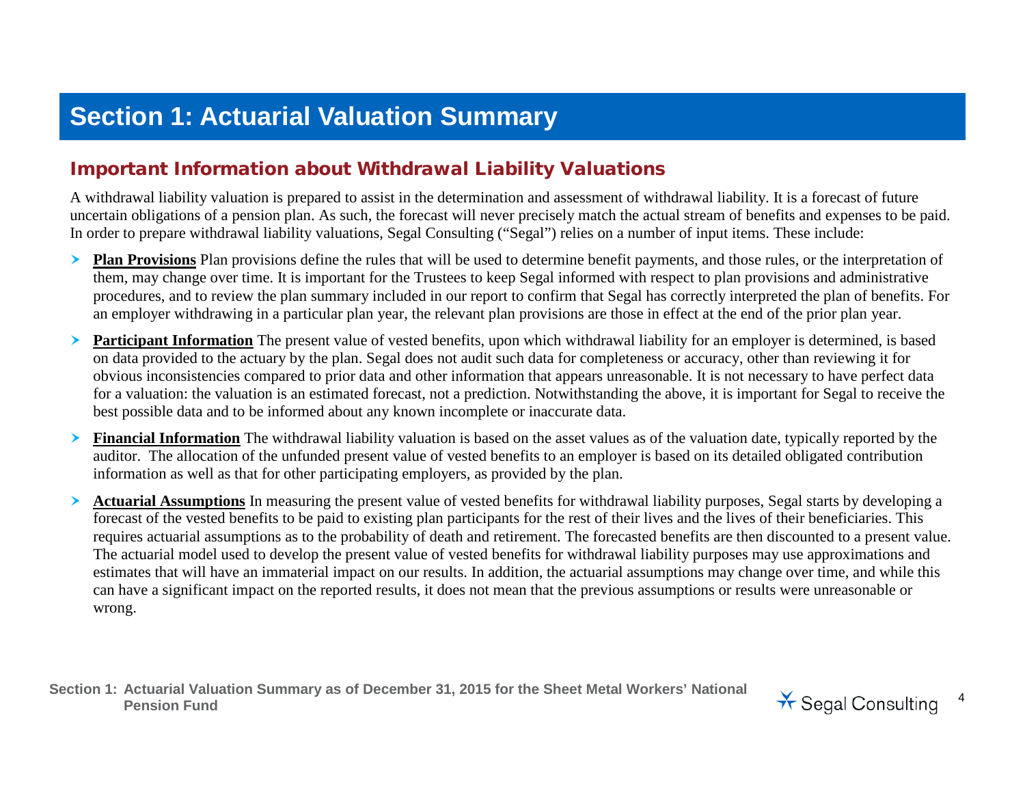## **Section 1: Actuarial Valuation Summary**

## Important Information about Withdrawal Liability Valuations

A withdrawal liability valuation is prepared to assist in the determination and assessment of withdrawal liability. It is a forecast of future uncertain obligations of a pension plan. As such, the forecast will never precisely match the actual stream of benefits and expenses to be paid. In order to prepare withdrawal liability valuations, Segal Consulting ("Segal") relies on a number of input items. These include:

- **Plan Provisions** Plan provisions define the rules that will be used to determine benefit payments, and those rules, or the interpretation of them, may change over time. It is important for the Trustees to keep Segal informed with respect to plan provisions and administrative procedures, and to review the plan summary included in our report to confirm that Segal has correctly interpreted the plan of benefits. For an employer withdrawing in a particular plan year, the relevant plan provisions are those in effect at the end of the prior plan year.
- **Participant Information** The present value of vested benefits, upon which withdrawal liability for an employer is determined, is based on data provided to the actuary by the plan. Segal does not audit such data for completeness or accuracy, other than reviewing it for obvious inconsistencies compared to prior data and other information that appears unreasonable. It is not necessary to have perfect data for a valuation: the valuation is an estimated forecast, not a prediction. Notwithstanding the above, it is important for Segal to receive the best possible data and to be informed about any known incomplete or inaccurate data.
- **Financial Information** The withdrawal liability valuation is based on the asset values as of the valuation date, typically reported by the auditor. The allocation of the unfunded present value of vested benefits to an employer is based on its detailed obligated contribution information as well as that for other participating employers, as provided by the plan.
- **Actuarial Assumptions** In measuring the present value of vested benefits for withdrawal liability purposes, Segal starts by developing a forecast of the vested benefits to be paid to existing plan participants for the rest of their lives and the lives of their beneficiaries. This requires actuarial assumptions as to the probability of death and retirement. The forecasted benefits are then discounted to a present value. The actuarial model used to develop the present value of vested benefits for withdrawal liability purposes may use approximations and estimates that will have an immaterial impact on our results. In addition, the actuarial assumptions may change over time, and while this can have a significant impact on the reported results, it does not mean that the previous assumptions or results were unreasonable or wrong.

**Section 1: Actuarial Valuation Summary as of December 31, 2015 for the Sheet Metal Workers' National**  Pension Fund<br>Pension Fund<br> **Pension Fund** 

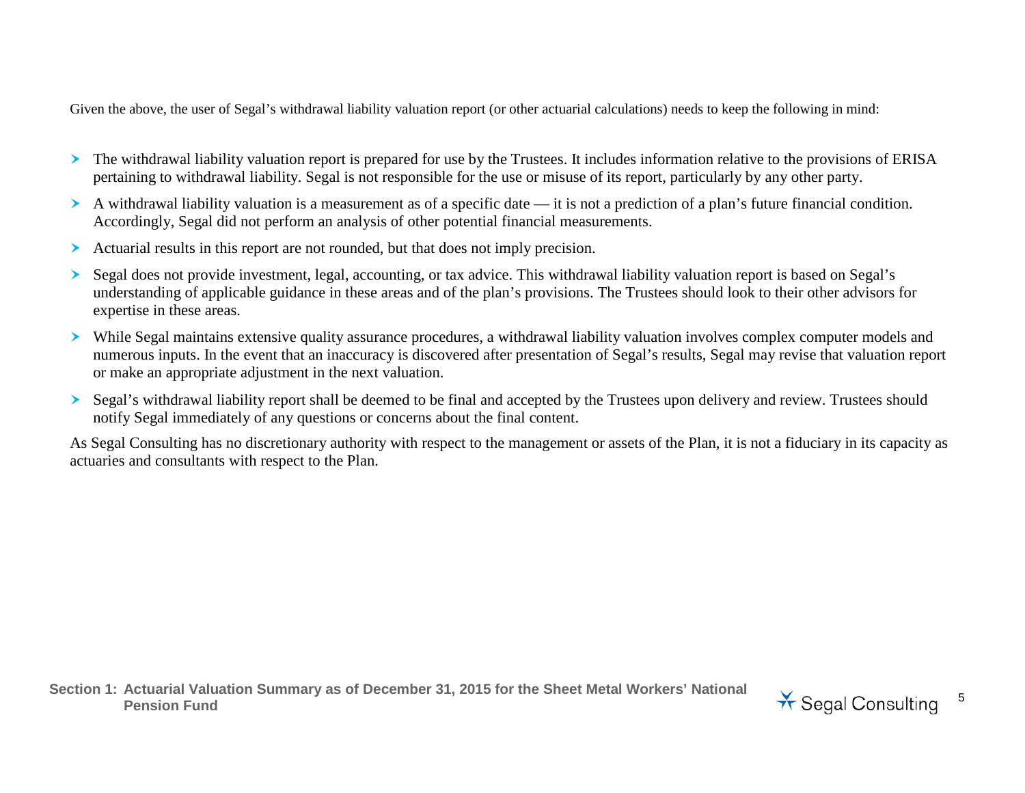Given the above, the user of Segal's withdrawal liability valuation report (or other actuarial calculations) needs to keep the following in mind:

- The withdrawal liability valuation report is prepared for use by the Trustees. It includes information relative to the provisions of ERISA pertaining to withdrawal liability. Segal is not responsible for the use or misuse of its report, particularly by any other party.
- A withdrawal liability valuation is a measurement as of a specific date it is not a prediction of a plan's future financial condition. Accordingly, Segal did not perform an analysis of other potential financial measurements.
- Actuarial results in this report are not rounded, but that does not imply precision.
- Segal does not provide investment, legal, accounting, or tax advice. This withdrawal liability valuation report is based on Segal's understanding of applicable guidance in these areas and of the plan's provisions. The Trustees should look to their other advisors for expertise in these areas.
- While Segal maintains extensive quality assurance procedures, a withdrawal liability valuation involves complex computer models and numerous inputs. In the event that an inaccuracy is discovered after presentation of Segal's results, Segal may revise that valuation report or make an appropriate adjustment in the next valuation.
- Segal's withdrawal liability report shall be deemed to be final and accepted by the Trustees upon delivery and review. Trustees should notify Segal immediately of any questions or concerns about the final content.

As Segal Consulting has no discretionary authority with respect to the management or assets of the Plan, it is not a fiduciary in its capacity as actuaries and consultants with respect to the Plan.

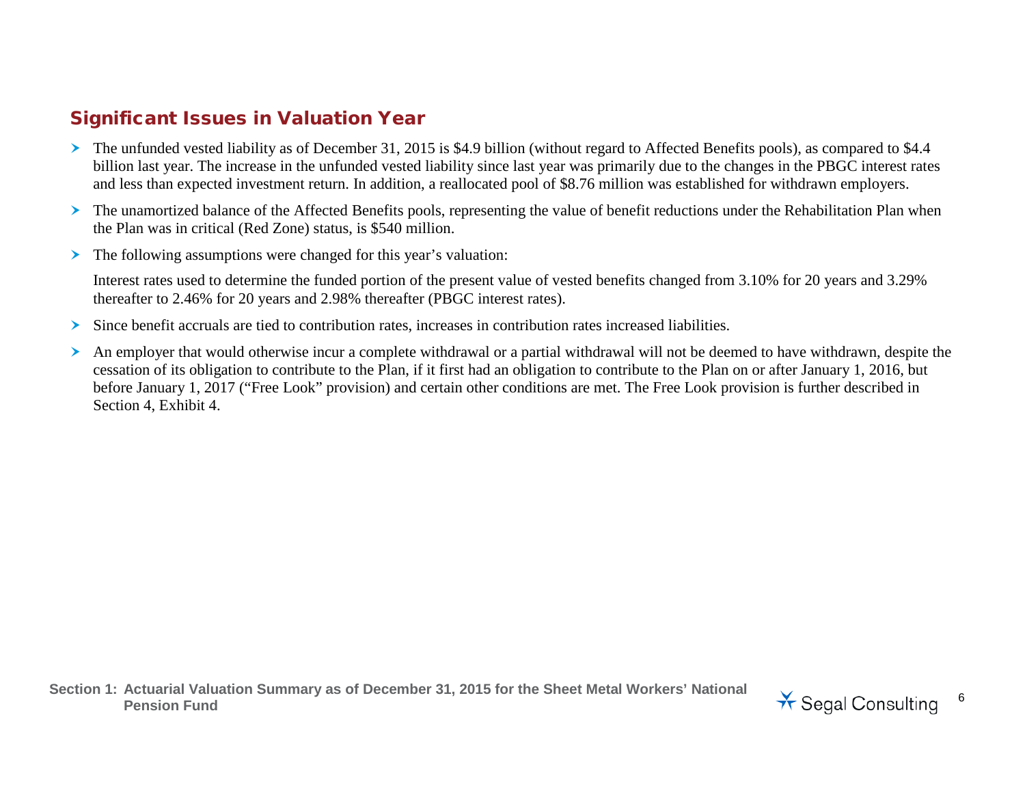## Significant Issues in Valuation Year

- The unfunded vested liability as of December 31, 2015 is \$4.9 billion (without regard to Affected Benefits pools), as compared to \$4.4 billion last year. The increase in the unfunded vested liability since last year was primarily due to the changes in the PBGC interest rates and less than expected investment return. In addition, a reallocated pool of \$8.76 million was established for withdrawn employers.
- > The unamortized balance of the Affected Benefits pools, representing the value of benefit reductions under the Rehabilitation Plan when the Plan was in critical (Red Zone) status, is \$540 million.
- $\triangleright$  The following assumptions were changed for this year's valuation:

Interest rates used to determine the funded portion of the present value of vested benefits changed from 3.10% for 20 years and 3.29% thereafter to 2.46% for 20 years and 2.98% thereafter (PBGC interest rates).

- $\geq$  Since benefit accruals are tied to contribution rates, increases in contribution rates increased liabilities.
- An employer that would otherwise incur a complete withdrawal or a partial withdrawal will not be deemed to have withdrawn, despite the cessation of its obligation to contribute to the Plan, if it first had an obligation to contribute to the Plan on or after January 1, 2016, but before January 1, 2017 ("Free Look" provision) and certain other conditions are met. The Free Look provision is further described in Section 4, Exhibit 4.

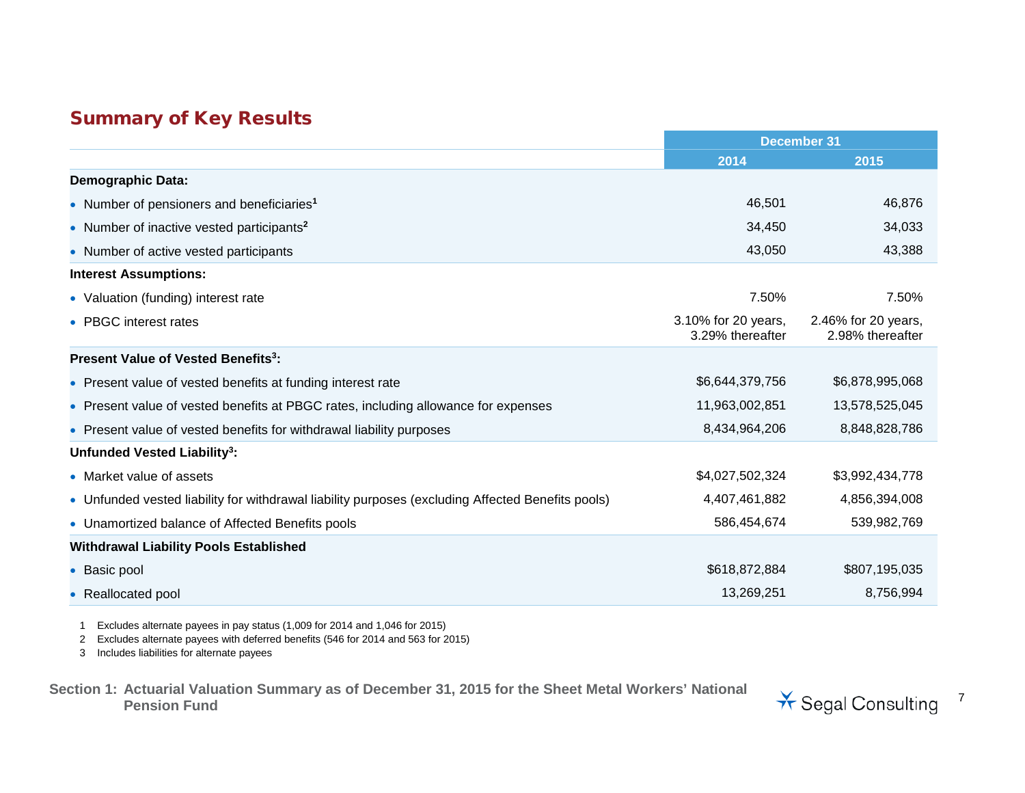## Summary of Key Results

|                                                                                                   | <b>December 31</b>                      |                                         |
|---------------------------------------------------------------------------------------------------|-----------------------------------------|-----------------------------------------|
|                                                                                                   | 2014                                    | 2015                                    |
| <b>Demographic Data:</b>                                                                          |                                         |                                         |
| • Number of pensioners and beneficiaries <sup>1</sup>                                             | 46,501                                  | 46,876                                  |
| • Number of inactive vested participants <sup>2</sup>                                             | 34,450                                  | 34,033                                  |
| • Number of active vested participants                                                            | 43,050                                  | 43,388                                  |
| <b>Interest Assumptions:</b>                                                                      |                                         |                                         |
| • Valuation (funding) interest rate                                                               | 7.50%                                   | 7.50%                                   |
| • PBGC interest rates                                                                             | 3.10% for 20 years,<br>3.29% thereafter | 2.46% for 20 years,<br>2.98% thereafter |
| Present Value of Vested Benefits <sup>3</sup> :                                                   |                                         |                                         |
| • Present value of vested benefits at funding interest rate                                       | \$6,644,379,756                         | \$6,878,995,068                         |
| • Present value of vested benefits at PBGC rates, including allowance for expenses                | 11,963,002,851                          | 13,578,525,045                          |
| • Present value of vested benefits for withdrawal liability purposes                              | 8,434,964,206                           | 8,848,828,786                           |
| Unfunded Vested Liability <sup>3</sup> :                                                          |                                         |                                         |
| • Market value of assets                                                                          | \$4,027,502,324                         | \$3,992,434,778                         |
| • Unfunded vested liability for withdrawal liability purposes (excluding Affected Benefits pools) | 4,407,461,882                           | 4,856,394,008                           |
| • Unamortized balance of Affected Benefits pools                                                  | 586,454,674                             | 539,982,769                             |
| <b>Withdrawal Liability Pools Established</b>                                                     |                                         |                                         |
| • Basic pool                                                                                      | \$618,872,884                           | \$807,195,035                           |
| • Reallocated pool                                                                                | 13,269,251                              | 8,756,994                               |

1 Excludes alternate payees in pay status (1,009 for 2014 and 1,046 for 2015)

2 Excludes alternate payees with deferred benefits (546 for 2014 and 563 for 2015)

3 Includes liabilities for alternate payees

**Section 1: Actuarial Valuation Summary as of December 31, 2015 for the Sheet Metal Workers' National** 

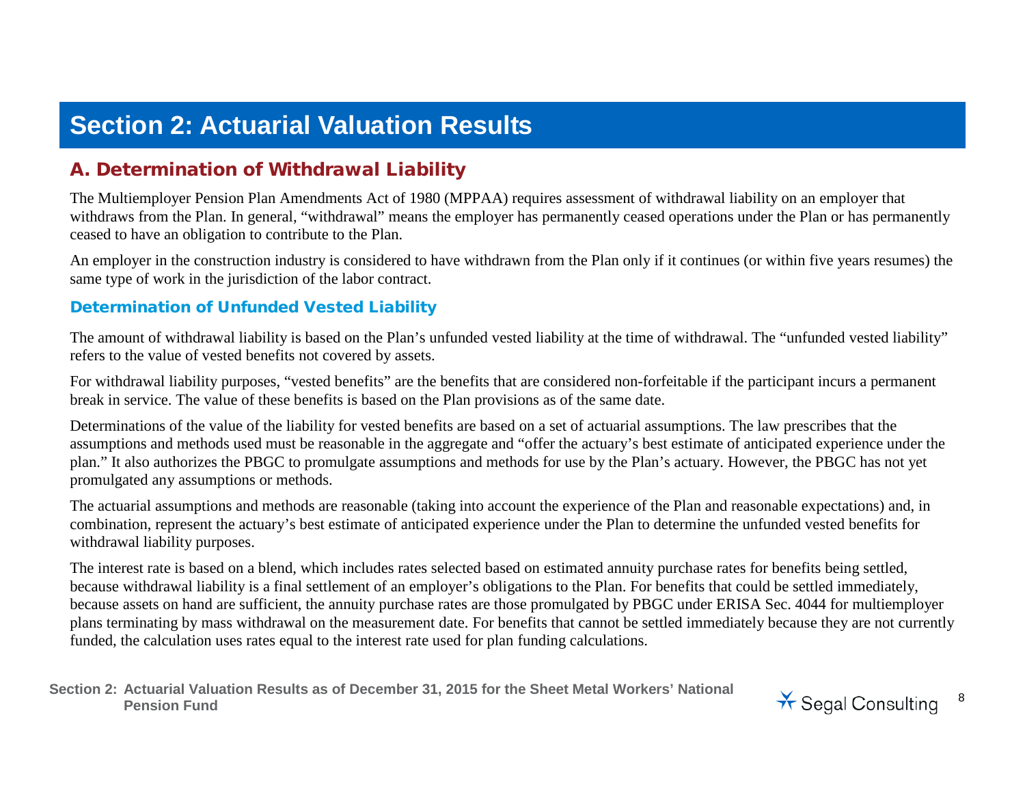## **Section 2: Actuarial Valuation Results**

## A. Determination of Withdrawal Liability

The Multiemployer Pension Plan Amendments Act of 1980 (MPPAA) requires assessment of withdrawal liability on an employer that withdraws from the Plan. In general, "withdrawal" means the employer has permanently ceased operations under the Plan or has permanently ceased to have an obligation to contribute to the Plan.

An employer in the construction industry is considered to have withdrawn from the Plan only if it continues (or within five years resumes) the same type of work in the jurisdiction of the labor contract.

#### Determination of Unfunded Vested Liability

The amount of withdrawal liability is based on the Plan's unfunded vested liability at the time of withdrawal. The "unfunded vested liability" refers to the value of vested benefits not covered by assets.

For withdrawal liability purposes, "vested benefits" are the benefits that are considered non-forfeitable if the participant incurs a permanent break in service. The value of these benefits is based on the Plan provisions as of the same date.

Determinations of the value of the liability for vested benefits are based on a set of actuarial assumptions. The law prescribes that the assumptions and methods used must be reasonable in the aggregate and "offer the actuary's best estimate of anticipated experience under the plan." It also authorizes the PBGC to promulgate assumptions and methods for use by the Plan's actuary. However, the PBGC has not yet promulgated any assumptions or methods.

The actuarial assumptions and methods are reasonable (taking into account the experience of the Plan and reasonable expectations) and, in combination, represent the actuary's best estimate of anticipated experience under the Plan to determine the unfunded vested benefits for withdrawal liability purposes.

The interest rate is based on a blend, which includes rates selected based on estimated annuity purchase rates for benefits being settled, because withdrawal liability is a final settlement of an employer's obligations to the Plan. For benefits that could be settled immediately, because assets on hand are sufficient, the annuity purchase rates are those promulgated by PBGC under ERISA Sec. 4044 for multiemployer plans terminating by mass withdrawal on the measurement date. For benefits that cannot be settled immediately because they are not currently funded, the calculation uses rates equal to the interest rate used for plan funding calculations.

**Section 2: Actuarial Valuation Results as of December 31, 2015 for the Sheet Metal Workers' National**  Pension Fund<br>Pension Fund<br>
<sup>8</sup><br>
Pension Fund

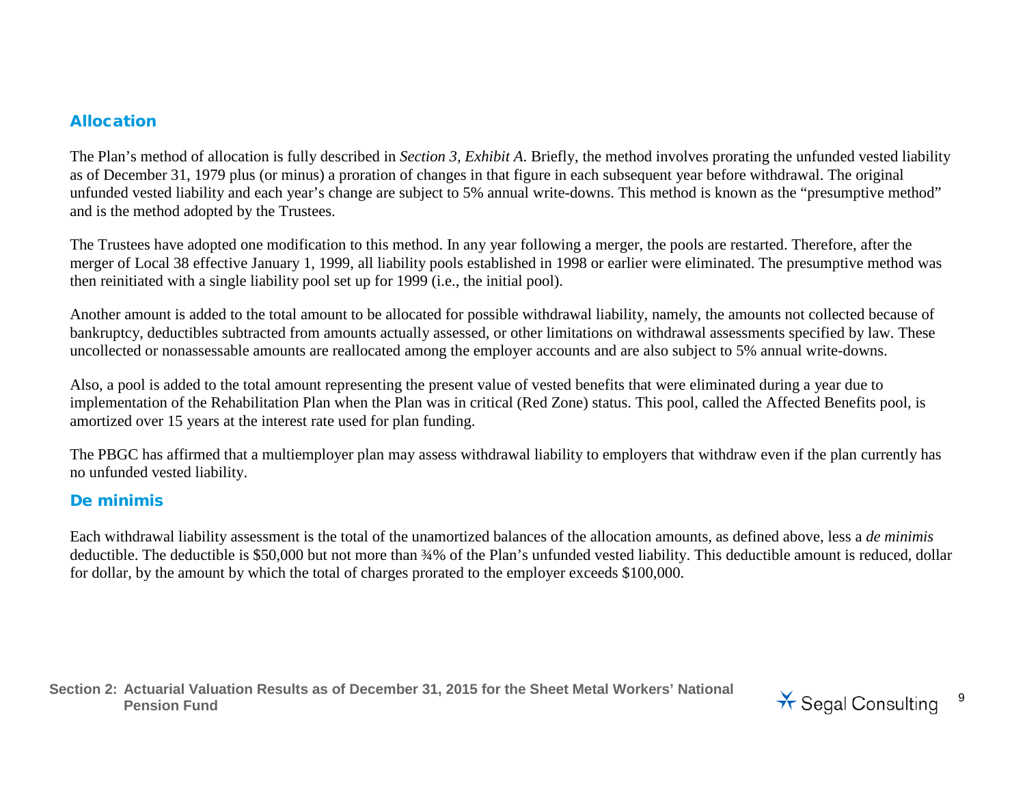#### Allocation

The Plan's method of allocation is fully described in *Section 3, Exhibit A*. Briefly, the method involves prorating the unfunded vested liability as of December 31, 1979 plus (or minus) a proration of changes in that figure in each subsequent year before withdrawal. The original unfunded vested liability and each year's change are subject to 5% annual write-downs. This method is known as the "presumptive method" and is the method adopted by the Trustees.

The Trustees have adopted one modification to this method. In any year following a merger, the pools are restarted. Therefore, after the merger of Local 38 effective January 1, 1999, all liability pools established in 1998 or earlier were eliminated. The presumptive method was then reinitiated with a single liability pool set up for 1999 (i.e., the initial pool).

Another amount is added to the total amount to be allocated for possible withdrawal liability, namely, the amounts not collected because of bankruptcy, deductibles subtracted from amounts actually assessed, or other limitations on withdrawal assessments specified by law. These uncollected or nonassessable amounts are reallocated among the employer accounts and are also subject to 5% annual write-downs.

Also, a pool is added to the total amount representing the present value of vested benefits that were eliminated during a year due to implementation of the Rehabilitation Plan when the Plan was in critical (Red Zone) status. This pool, called the Affected Benefits pool, is amortized over 15 years at the interest rate used for plan funding.

The PBGC has affirmed that a multiemployer plan may assess withdrawal liability to employers that withdraw even if the plan currently has no unfunded vested liability.

#### De minimis

Each withdrawal liability assessment is the total of the unamortized balances of the allocation amounts, as defined above, less a *de minimis* deductible. The deductible is \$50,000 but not more than  $\frac{34}{6}$  of the Plan's unfunded vested liability. This deductible amount is reduced, dollar for dollar, by the amount by which the total of charges prorated to the employer exceeds \$100,000.

**Section 2: Actuarial Valuation Results as of December 31, 2015 for the Sheet Metal Workers' National**  Pension Fund<br>Pension Fund<br>
<sup>9</sup>

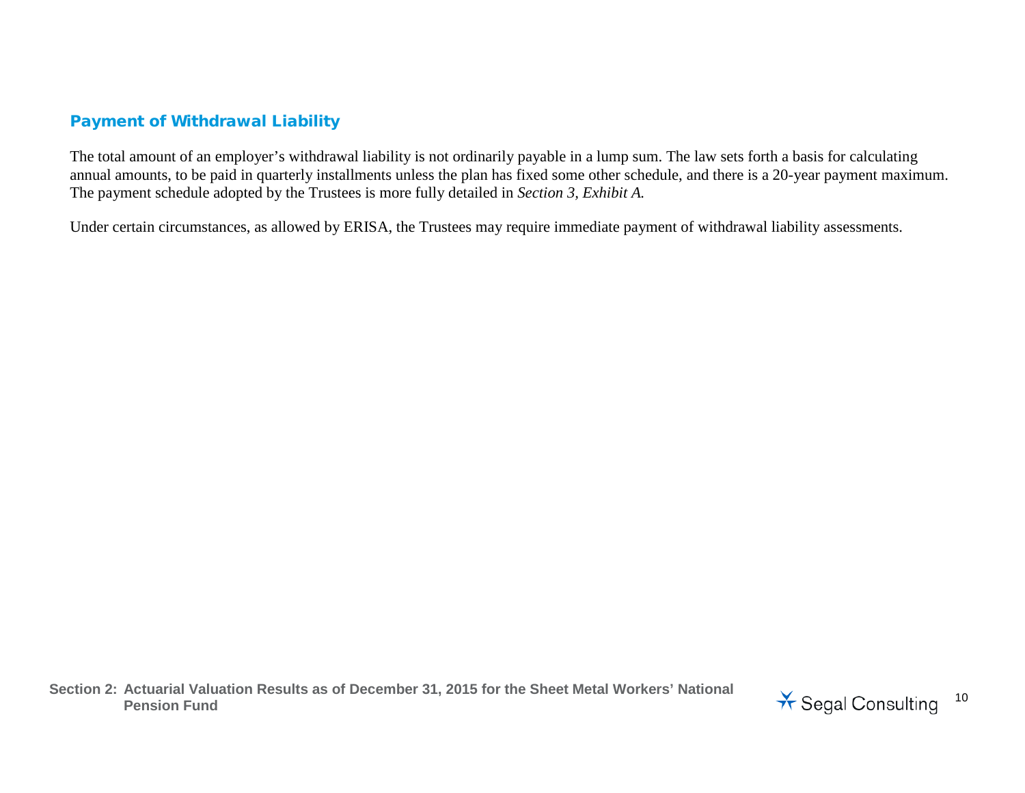### Payment of Withdrawal Liability

The total amount of an employer's withdrawal liability is not ordinarily payable in a lump sum. The law sets forth a basis for calculating annual amounts, to be paid in quarterly installments unless the plan has fixed some other schedule, and there is a 20-year payment maximum. The payment schedule adopted by the Trustees is more fully detailed in *Section 3, Exhibit A.*

Under certain circumstances, as allowed by ERISA, the Trustees may require immediate payment of withdrawal liability assessments.

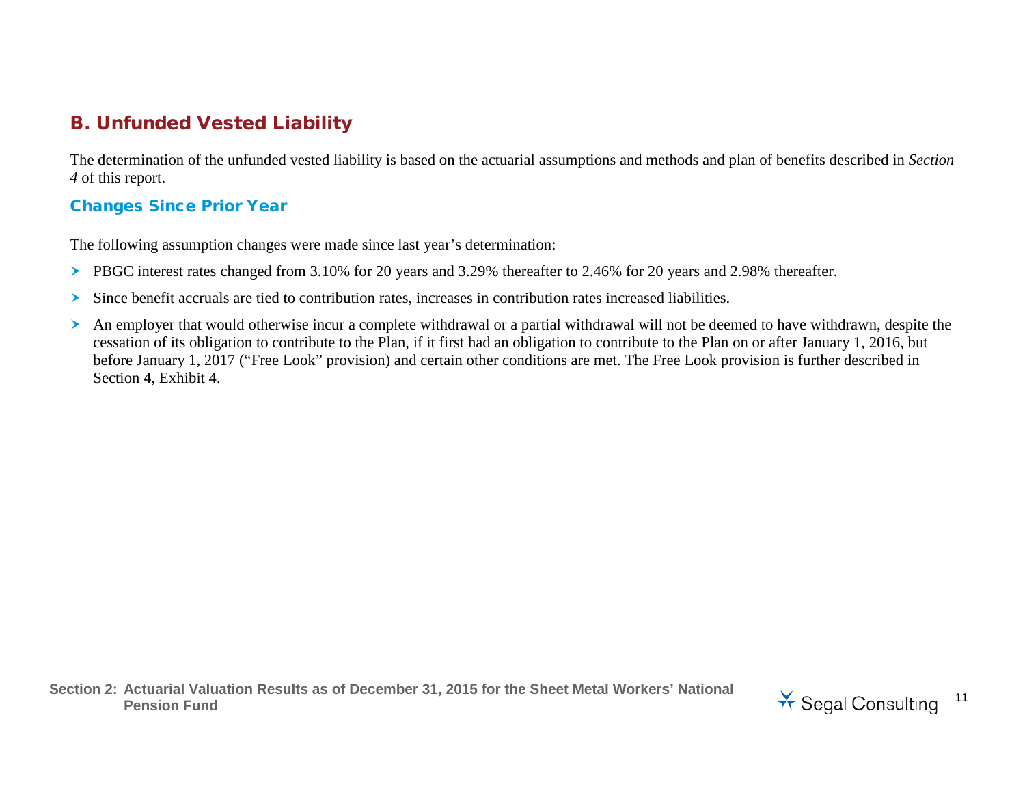## B. Unfunded Vested Liability

The determination of the unfunded vested liability is based on the actuarial assumptions and methods and plan of benefits described in *Section 4* of this report.

#### Changes Since Prior Year

The following assumption changes were made since last year's determination:

- PBGC interest rates changed from 3.10% for 20 years and 3.29% thereafter to 2.46% for 20 years and 2.98% thereafter.
- $\geq$  Since benefit accruals are tied to contribution rates, increases in contribution rates increased liabilities.
- An employer that would otherwise incur a complete withdrawal or a partial withdrawal will not be deemed to have withdrawn, despite the cessation of its obligation to contribute to the Plan, if it first had an obligation to contribute to the Plan on or after January 1, 2016, but before January 1, 2017 ("Free Look" provision) and certain other conditions are met. The Free Look provision is further described in Section 4, Exhibit 4.

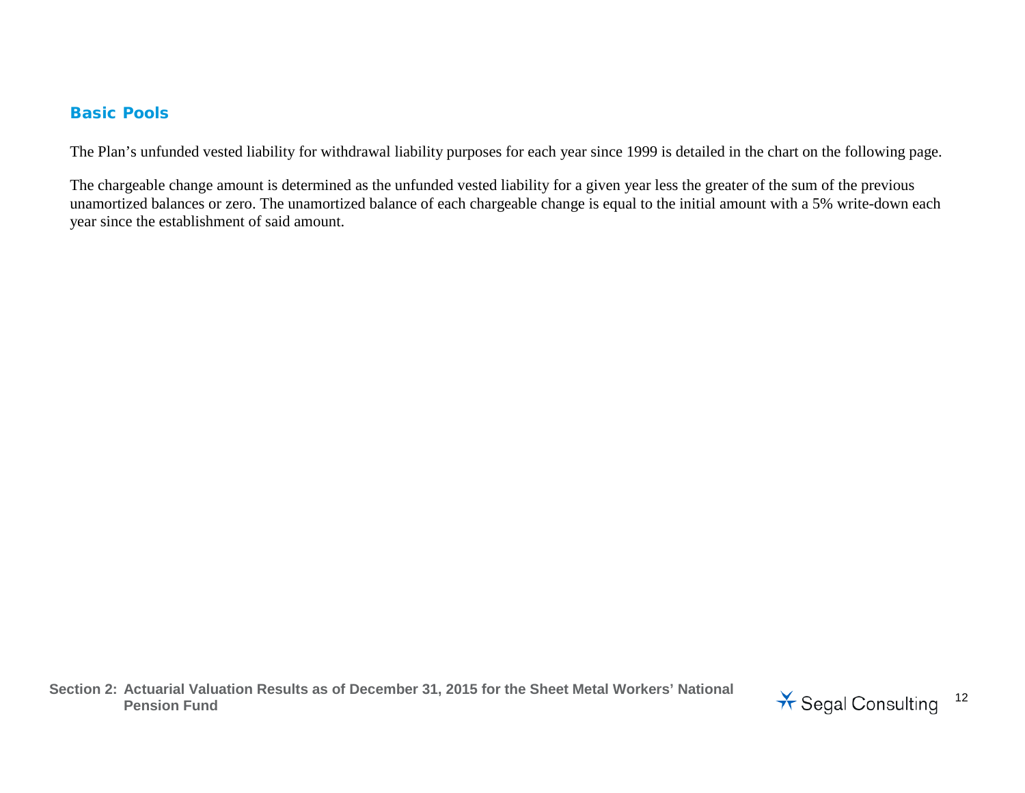#### Basic Pools

The Plan's unfunded vested liability for withdrawal liability purposes for each year since 1999 is detailed in the chart on the following page.

The chargeable change amount is determined as the unfunded vested liability for a given year less the greater of the sum of the previous unamortized balances or zero. The unamortized balance of each chargeable change is equal to the initial amount with a 5% write-down each year since the establishment of said amount.

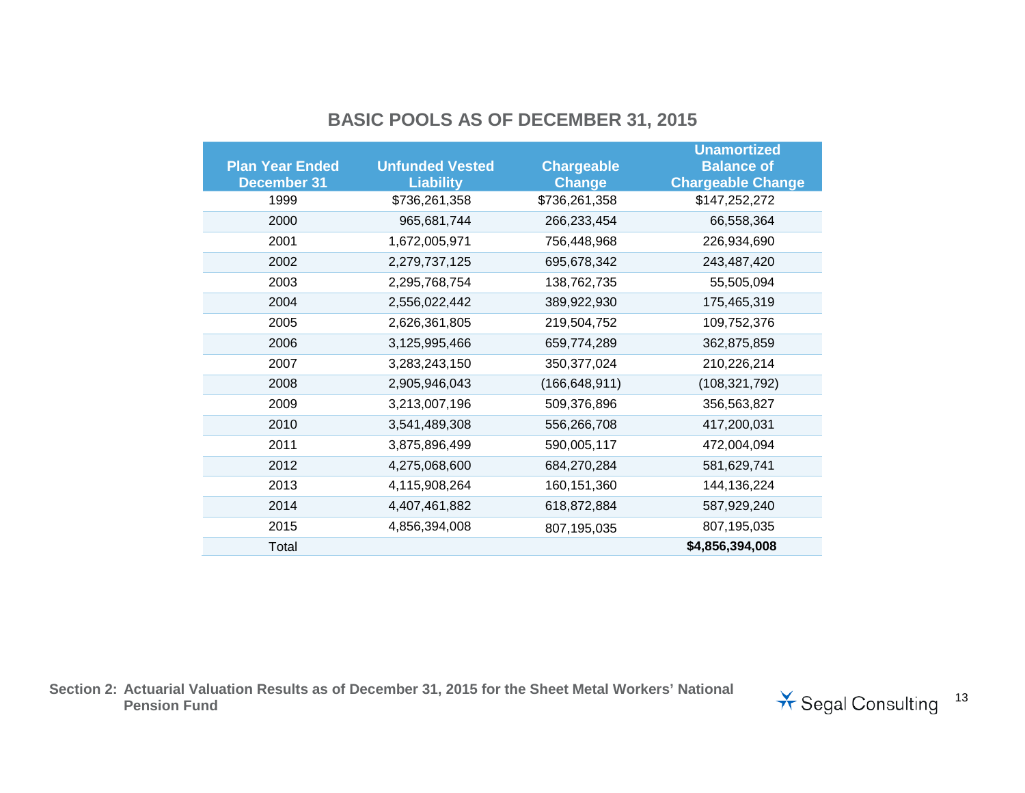## **BASIC POOLS AS OF DECEMBER 31, 2015**

|                        |                        |                   | <b>Unamortized</b>       |
|------------------------|------------------------|-------------------|--------------------------|
| <b>Plan Year Ended</b> | <b>Unfunded Vested</b> | <b>Chargeable</b> | <b>Balance of</b>        |
| <b>December 31</b>     | <b>Liability</b>       | <b>Change</b>     | <b>Chargeable Change</b> |
| 1999                   | \$736,261,358          | \$736,261,358     | \$147,252,272            |
| 2000                   | 965,681,744            | 266,233,454       | 66,558,364               |
| 2001                   | 1,672,005,971          | 756,448,968       | 226,934,690              |
| 2002                   | 2,279,737,125          | 695,678,342       | 243,487,420              |
| 2003                   | 2,295,768,754          | 138,762,735       | 55,505,094               |
| 2004                   | 2,556,022,442          | 389,922,930       | 175,465,319              |
| 2005                   | 2,626,361,805          | 219,504,752       | 109,752,376              |
| 2006                   | 3,125,995,466          | 659,774,289       | 362,875,859              |
| 2007                   | 3,283,243,150          | 350, 377, 024     | 210,226,214              |
| 2008                   | 2,905,946,043          | (166, 648, 911)   | (108, 321, 792)          |
| 2009                   | 3,213,007,196          | 509,376,896       | 356,563,827              |
| 2010                   | 3,541,489,308          | 556,266,708       | 417,200,031              |
| 2011                   | 3,875,896,499          | 590,005,117       | 472,004,094              |
| 2012                   | 4,275,068,600          | 684,270,284       | 581,629,741              |
| 2013                   | 4,115,908,264          | 160, 151, 360     | 144, 136, 224            |
| 2014                   | 4,407,461,882          | 618,872,884       | 587,929,240              |
| 2015                   | 4,856,394,008          | 807,195,035       | 807,195,035              |
| Total                  |                        |                   | \$4,856,394,008          |

**Section 2: Actuarial Valuation Results as of December 31, 2015 for the Sheet Metal Workers' National** 

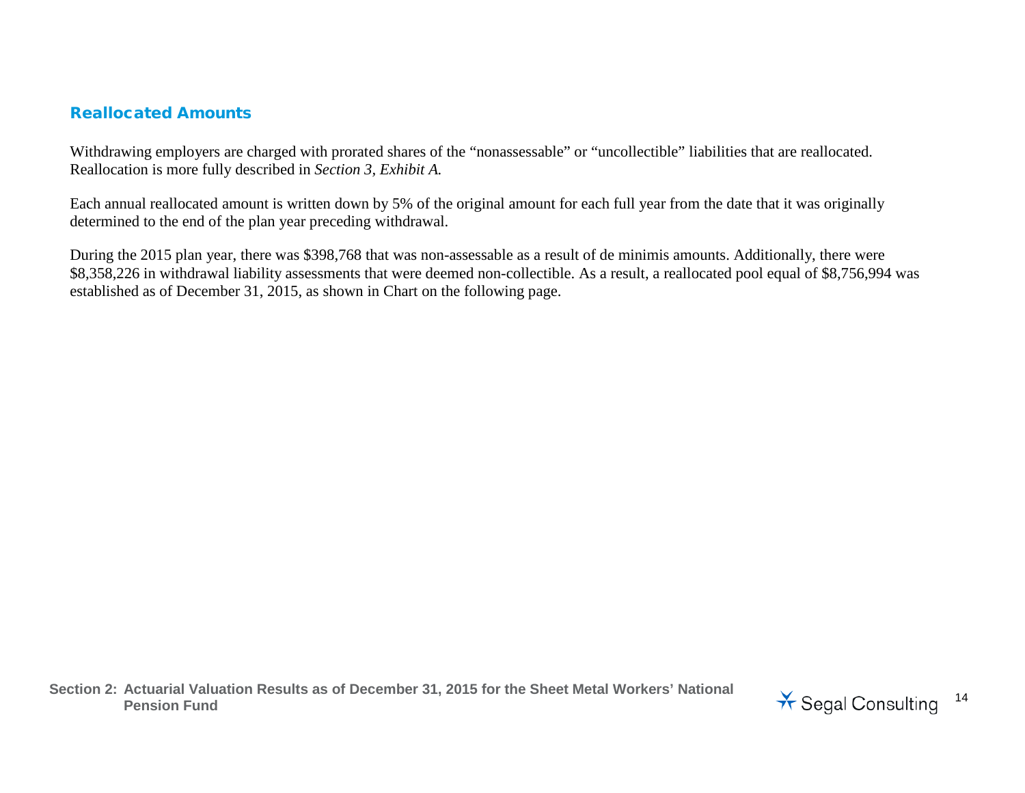#### Reallocated Amounts

Withdrawing employers are charged with prorated shares of the "nonassessable" or "uncollectible" liabilities that are reallocated. Reallocation is more fully described in *Section 3, Exhibit A.*

Each annual reallocated amount is written down by 5% of the original amount for each full year from the date that it was originally determined to the end of the plan year preceding withdrawal.

During the 2015 plan year, there was \$398,768 that was non-assessable as a result of de minimis amounts. Additionally, there were \$8,358,226 in withdrawal liability assessments that were deemed non-collectible. As a result, a reallocated pool equal of \$8,756,994 was established as of December 31, 2015, as shown in Chart on the following page.

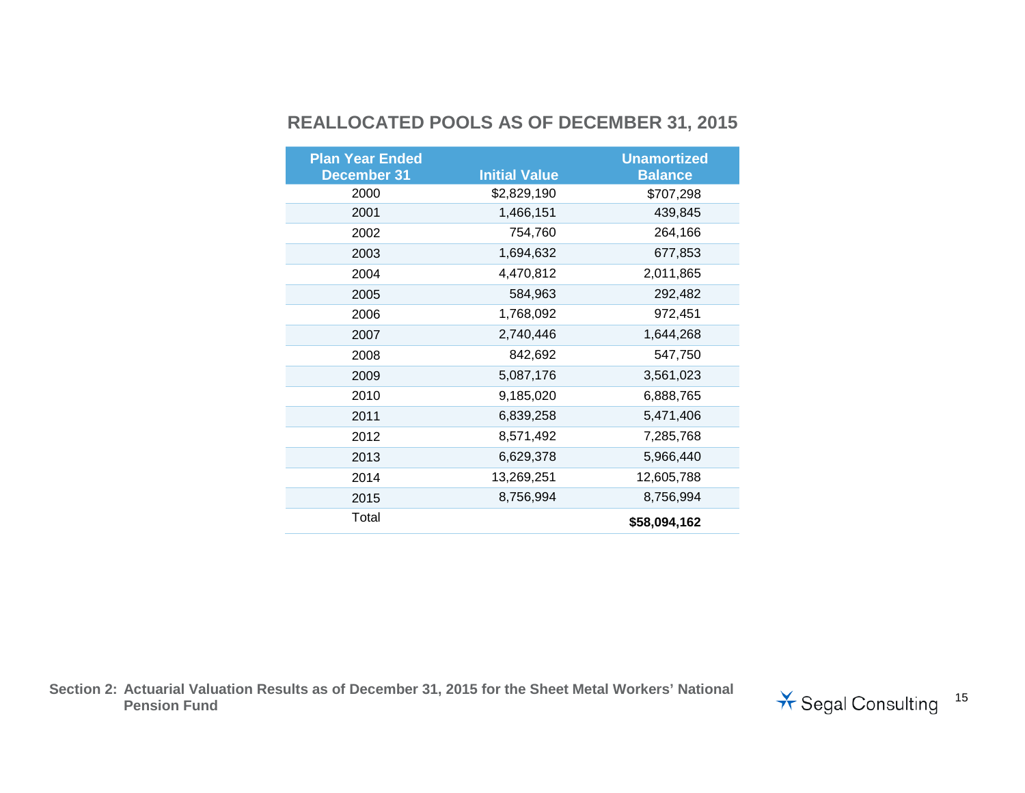## **REALLOCATED POOLS AS OF DECEMBER 31, 2015**

| <b>Plan Year Ended</b> |                      | <b>Unamortized</b> |
|------------------------|----------------------|--------------------|
| <b>December 31</b>     | <b>Initial Value</b> | <b>Balance</b>     |
| 2000                   | \$2,829,190          | \$707,298          |
| 2001                   | 1,466,151            | 439,845            |
| 2002                   | 754,760              | 264,166            |
| 2003                   | 1,694,632            | 677,853            |
| 2004                   | 4,470,812            | 2,011,865          |
| 2005                   | 584,963              | 292,482            |
| 2006                   | 1,768,092            | 972,451            |
| 2007                   | 2,740,446            | 1,644,268          |
| 2008                   | 842,692              | 547,750            |
| 2009                   | 5,087,176            | 3,561,023          |
| 2010                   | 9,185,020            | 6,888,765          |
| 2011                   | 6,839,258            | 5,471,406          |
| 2012                   | 8,571,492            | 7,285,768          |
| 2013                   | 6,629,378            | 5,966,440          |
| 2014                   | 13,269,251           | 12,605,788         |
| 2015                   | 8,756,994            | 8,756,994          |
| Total                  |                      | \$58,094,162       |

**Section 2: Actuarial Valuation Results as of December 31, 2015 for the Sheet Metal Workers' National** 

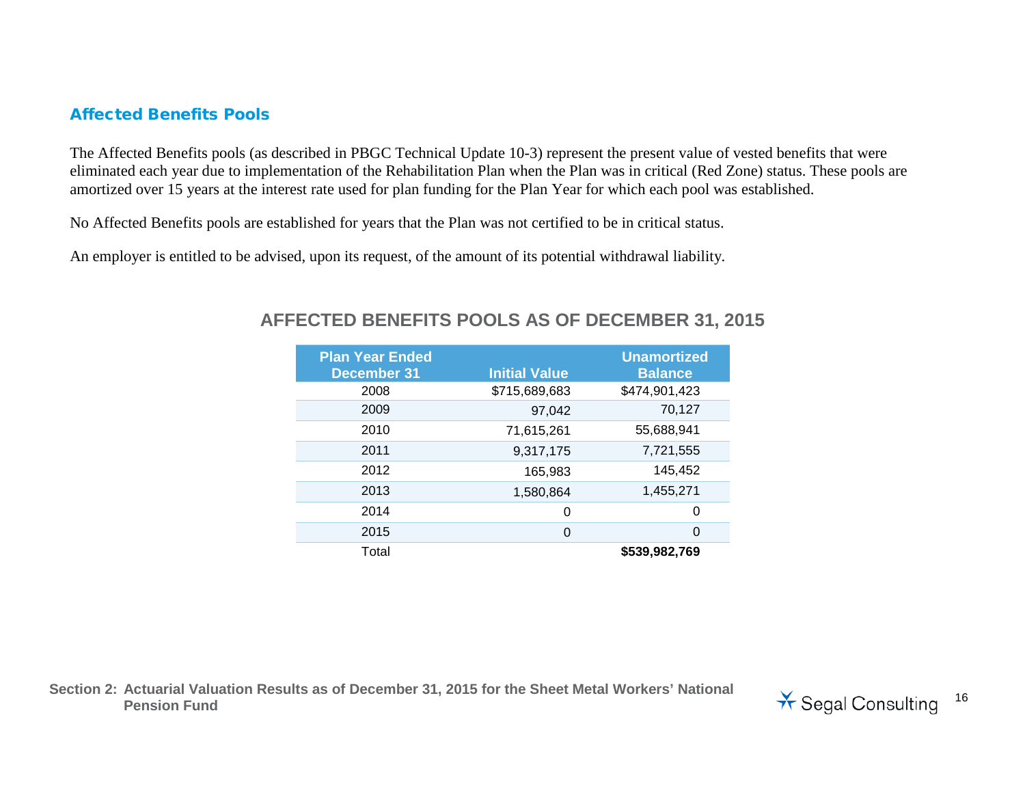#### Affected Benefits Pools

The Affected Benefits pools (as described in PBGC Technical Update 10-3) represent the present value of vested benefits that were eliminated each year due to implementation of the Rehabilitation Plan when the Plan was in critical (Red Zone) status. These pools are amortized over 15 years at the interest rate used for plan funding for the Plan Year for which each pool was established.

No Affected Benefits pools are established for years that the Plan was not certified to be in critical status.

An employer is entitled to be advised, upon its request, of the amount of its potential withdrawal liability.

| <b>Plan Year Ended</b><br><b>December 31</b> | <b>Initial Value</b> | <b>Unamortized</b><br><b>Balance</b> |
|----------------------------------------------|----------------------|--------------------------------------|
|                                              |                      |                                      |
| 2008                                         | \$715,689,683        | \$474,901,423                        |
| 2009                                         | 97,042               | 70,127                               |
| 2010                                         | 71,615,261           | 55,688,941                           |
| 2011                                         | 9,317,175            | 7,721,555                            |
| 2012                                         | 165,983              | 145,452                              |
| 2013                                         | 1,580,864            | 1,455,271                            |
| 2014                                         | 0                    | 0                                    |
| 2015                                         | $\Omega$             | 0                                    |
| Total                                        |                      | \$539,982,769                        |

#### **AFFECTED BENEFITS POOLS AS OF DECEMBER 31, 2015**

**Section 2: Actuarial Valuation Results as of December 31, 2015 for the Sheet Metal Workers' National**  Pension Fund<br>Pension Fund<br>
<sup>16</sup><br>
Pension Fund

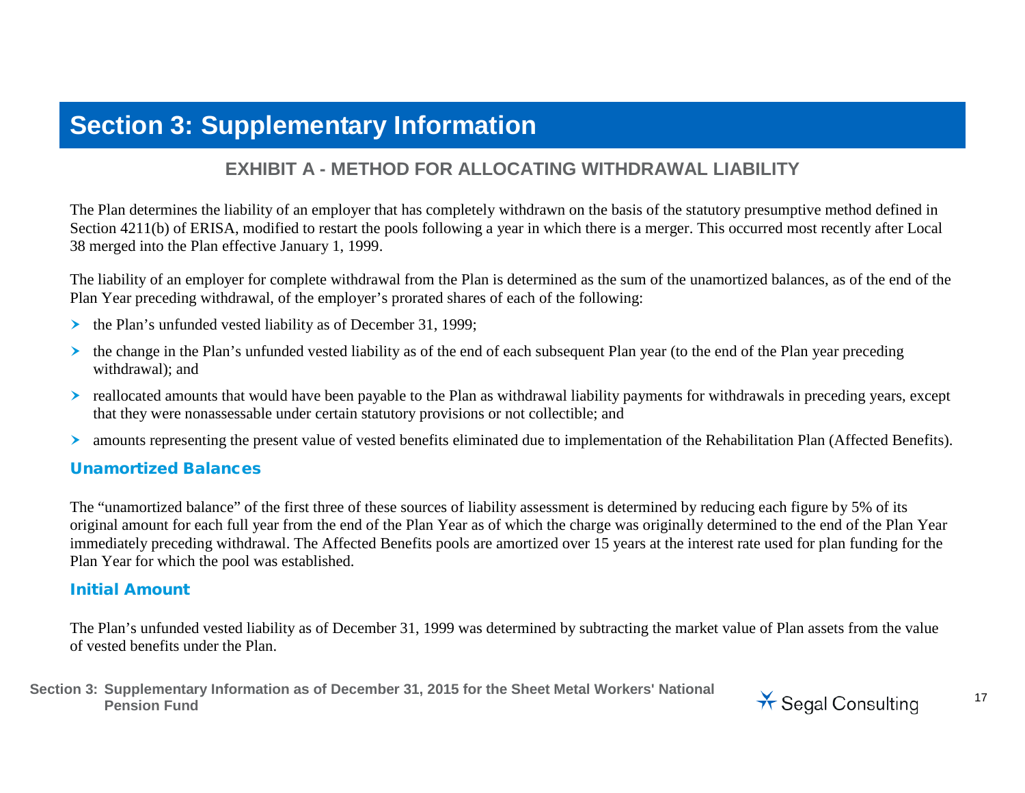## **Section 3: Supplementary Information**

### **EXHIBIT A - METHOD FOR ALLOCATING WITHDRAWAL LIABILITY**

The Plan determines the liability of an employer that has completely withdrawn on the basis of the statutory presumptive method defined in Section 4211(b) of ERISA, modified to restart the pools following a year in which there is a merger. This occurred most recently after Local 38 merged into the Plan effective January 1, 1999.

The liability of an employer for complete withdrawal from the Plan is determined as the sum of the unamortized balances, as of the end of the Plan Year preceding withdrawal, of the employer's prorated shares of each of the following:

- $\triangleright$  the Plan's unfunded vested liability as of December 31, 1999;
- $\triangleright$  the change in the Plan's unfunded vested liability as of the end of each subsequent Plan year (to the end of the Plan year preceding withdrawal); and
- reallocated amounts that would have been payable to the Plan as withdrawal liability payments for withdrawals in preceding years, except that they were nonassessable under certain statutory provisions or not collectible; and
- amounts representing the present value of vested benefits eliminated due to implementation of the Rehabilitation Plan (Affected Benefits).

#### Unamortized Balances

The "unamortized balance" of the first three of these sources of liability assessment is determined by reducing each figure by 5% of its original amount for each full year from the end of the Plan Year as of which the charge was originally determined to the end of the Plan Year immediately preceding withdrawal. The Affected Benefits pools are amortized over 15 years at the interest rate used for plan funding for the Plan Year for which the pool was established.

#### Initial Amount

The Plan's unfunded vested liability as of December 31, 1999 was determined by subtracting the market value of Plan assets from the value of vested benefits under the Plan.

**Section 3: Supplementary Information as of December 31, 2015 for the Sheet Metal Workers' National**  Pension Fund<br>Pension Fund<br>**Pension Fund** 

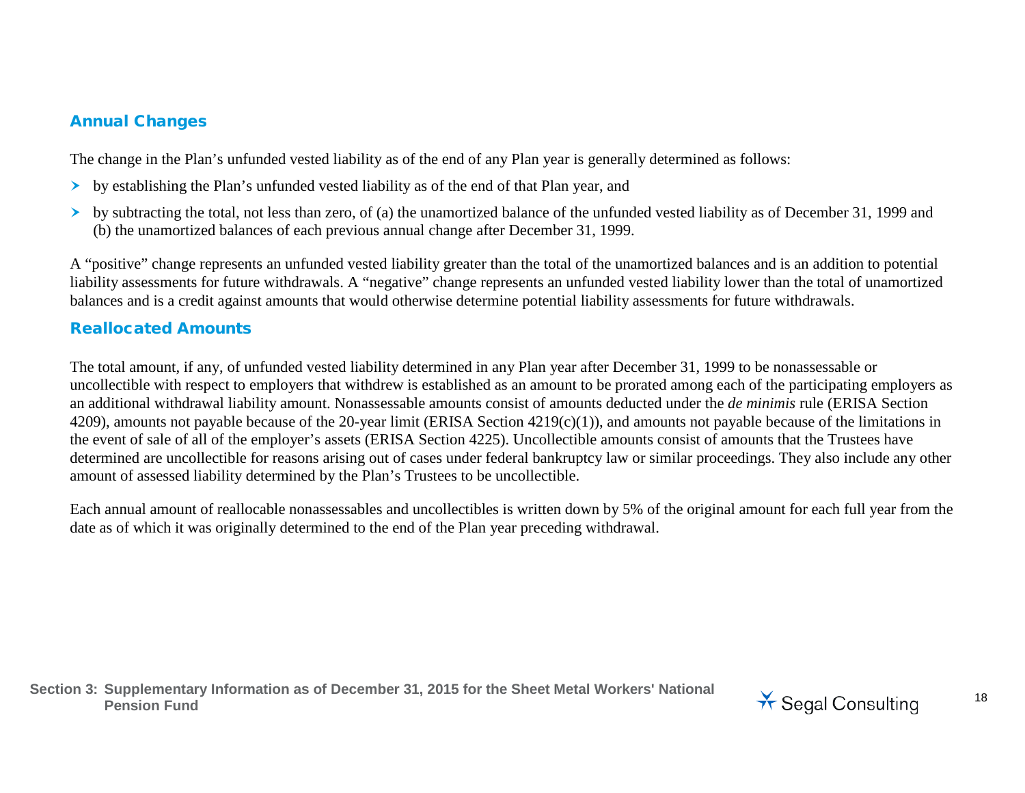#### Annual Changes

The change in the Plan's unfunded vested liability as of the end of any Plan year is generally determined as follows:

- by establishing the Plan's unfunded vested liability as of the end of that Plan year, and
- $\triangleright$  by subtracting the total, not less than zero, of (a) the unamortized balance of the unfunded vested liability as of December 31, 1999 and (b) the unamortized balances of each previous annual change after December 31, 1999.

A "positive" change represents an unfunded vested liability greater than the total of the unamortized balances and is an addition to potential liability assessments for future withdrawals. A "negative" change represents an unfunded vested liability lower than the total of unamortized balances and is a credit against amounts that would otherwise determine potential liability assessments for future withdrawals.

### Reallocated Amounts

The total amount, if any, of unfunded vested liability determined in any Plan year after December 31, 1999 to be nonassessable or uncollectible with respect to employers that withdrew is established as an amount to be prorated among each of the participating employers as an additional withdrawal liability amount. Nonassessable amounts consist of amounts deducted under the *de minimis* rule (ERISA Section 4209), amounts not payable because of the 20-year limit (ERISA Section 4219(c)(1)), and amounts not payable because of the limitations in the event of sale of all of the employer's assets (ERISA Section 4225). Uncollectible amounts consist of amounts that the Trustees have determined are uncollectible for reasons arising out of cases under federal bankruptcy law or similar proceedings. They also include any other amount of assessed liability determined by the Plan's Trustees to be uncollectible.

Each annual amount of reallocable nonassessables and uncollectibles is written down by 5% of the original amount for each full year from the date as of which it was originally determined to the end of the Plan year preceding withdrawal.

**Section 3: Supplementary Information as of December 31, 2015 for the Sheet Metal Workers' National**  Pension Fund<br>Pension Fund<br>**Pension Fund** 

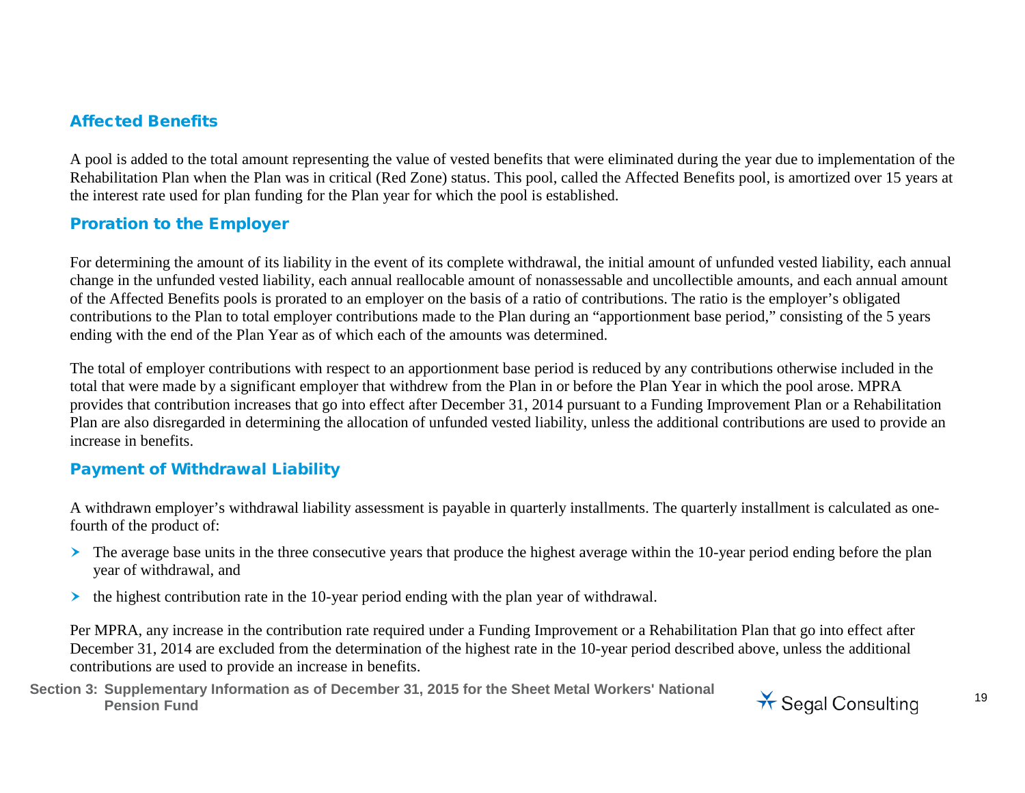#### Affected Benefits

A pool is added to the total amount representing the value of vested benefits that were eliminated during the year due to implementation of the Rehabilitation Plan when the Plan was in critical (Red Zone) status. This pool, called the Affected Benefits pool, is amortized over 15 years at the interest rate used for plan funding for the Plan year for which the pool is established.

#### Proration to the Employer

For determining the amount of its liability in the event of its complete withdrawal, the initial amount of unfunded vested liability, each annual change in the unfunded vested liability, each annual reallocable amount of nonassessable and uncollectible amounts, and each annual amount of the Affected Benefits pools is prorated to an employer on the basis of a ratio of contributions. The ratio is the employer's obligated contributions to the Plan to total employer contributions made to the Plan during an "apportionment base period," consisting of the 5 years ending with the end of the Plan Year as of which each of the amounts was determined.

The total of employer contributions with respect to an apportionment base period is reduced by any contributions otherwise included in the total that were made by a significant employer that withdrew from the Plan in or before the Plan Year in which the pool arose. MPRA provides that contribution increases that go into effect after December 31, 2014 pursuant to a Funding Improvement Plan or a Rehabilitation Plan are also disregarded in determining the allocation of unfunded vested liability, unless the additional contributions are used to provide an increase in benefits.

#### Payment of Withdrawal Liability

A withdrawn employer's withdrawal liability assessment is payable in quarterly installments. The quarterly installment is calculated as onefourth of the product of:

- The average base units in the three consecutive years that produce the highest average within the 10-year period ending before the plan year of withdrawal, and
- $\triangleright$  the highest contribution rate in the 10-year period ending with the plan year of withdrawal.

Per MPRA, any increase in the contribution rate required under a Funding Improvement or a Rehabilitation Plan that go into effect after December 31, 2014 are excluded from the determination of the highest rate in the 10-year period described above, unless the additional contributions are used to provide an increase in benefits.

**Section 3: Supplementary Information as of December 31, 2015 for the Sheet Metal Workers' National Pension Fund** Consulting the Matter of Became of the Check Motor Methods National Matter of Segal Consulting 19

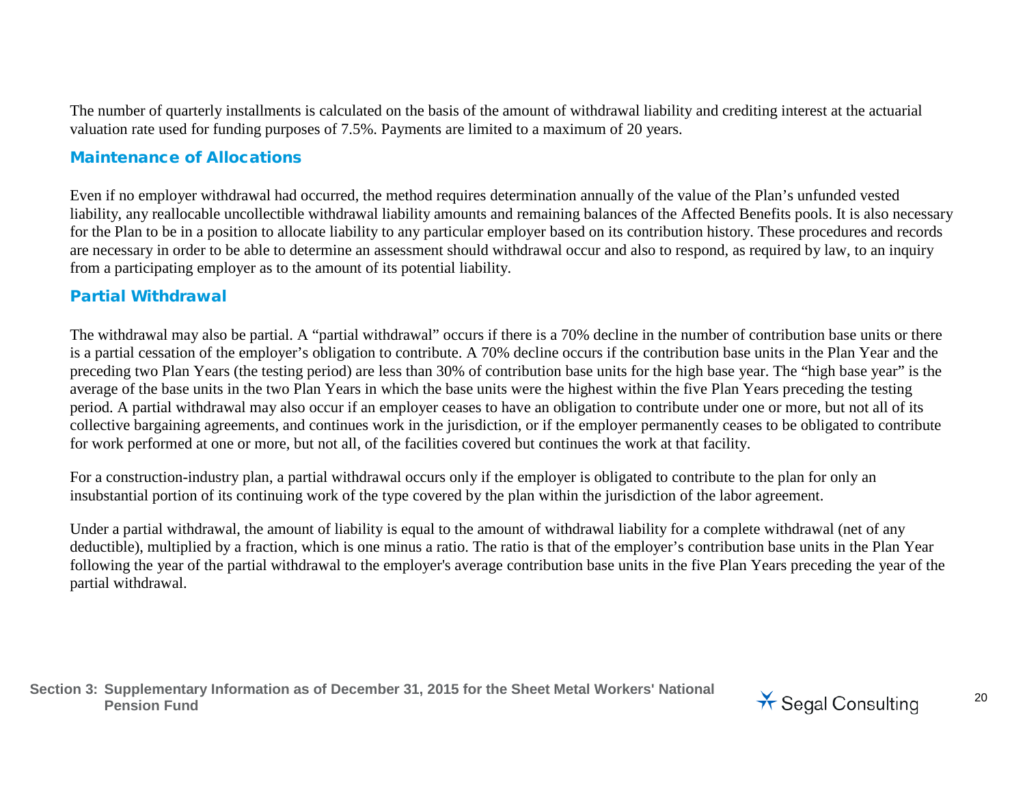The number of quarterly installments is calculated on the basis of the amount of withdrawal liability and crediting interest at the actuarial valuation rate used for funding purposes of 7.5%. Payments are limited to a maximum of 20 years.

#### Maintenance of Allocations

Even if no employer withdrawal had occurred, the method requires determination annually of the value of the Plan's unfunded vested liability, any reallocable uncollectible withdrawal liability amounts and remaining balances of the Affected Benefits pools. It is also necessary for the Plan to be in a position to allocate liability to any particular employer based on its contribution history. These procedures and records are necessary in order to be able to determine an assessment should withdrawal occur and also to respond, as required by law, to an inquiry from a participating employer as to the amount of its potential liability.

#### Partial Withdrawal

The withdrawal may also be partial. A "partial withdrawal" occurs if there is a 70% decline in the number of contribution base units or there is a partial cessation of the employer's obligation to contribute. A 70% decline occurs if the contribution base units in the Plan Year and the preceding two Plan Years (the testing period) are less than 30% of contribution base units for the high base year. The "high base year" is the average of the base units in the two Plan Years in which the base units were the highest within the five Plan Years preceding the testing period. A partial withdrawal may also occur if an employer ceases to have an obligation to contribute under one or more, but not all of its collective bargaining agreements, and continues work in the jurisdiction, or if the employer permanently ceases to be obligated to contribute for work performed at one or more, but not all, of the facilities covered but continues the work at that facility.

For a construction-industry plan, a partial withdrawal occurs only if the employer is obligated to contribute to the plan for only an insubstantial portion of its continuing work of the type covered by the plan within the jurisdiction of the labor agreement.

Under a partial withdrawal, the amount of liability is equal to the amount of withdrawal liability for a complete withdrawal (net of any deductible), multiplied by a fraction, which is one minus a ratio. The ratio is that of the employer's contribution base units in the Plan Year following the year of the partial withdrawal to the employer's average contribution base units in the five Plan Years preceding the year of the partial withdrawal.

**Section 3: Supplementary Information as of December 31, 2015 for the Sheet Metal Workers' National**  Pension Fund<br>Pension Fund<br>**Pension Fund** 

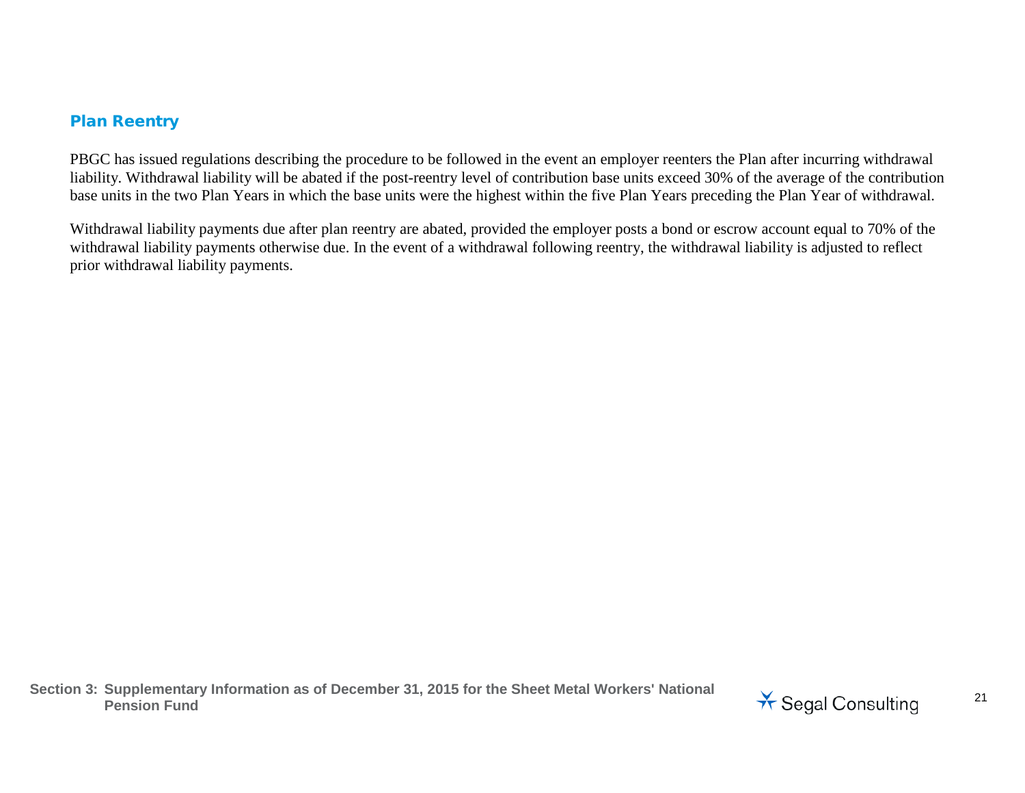#### Plan Reentry

PBGC has issued regulations describing the procedure to be followed in the event an employer reenters the Plan after incurring withdrawal liability. Withdrawal liability will be abated if the post-reentry level of contribution base units exceed 30% of the average of the contribution base units in the two Plan Years in which the base units were the highest within the five Plan Years preceding the Plan Year of withdrawal.

Withdrawal liability payments due after plan reentry are abated, provided the employer posts a bond or escrow account equal to 70% of the withdrawal liability payments otherwise due. In the event of a withdrawal following reentry, the withdrawal liability is adjusted to reflect prior withdrawal liability payments.

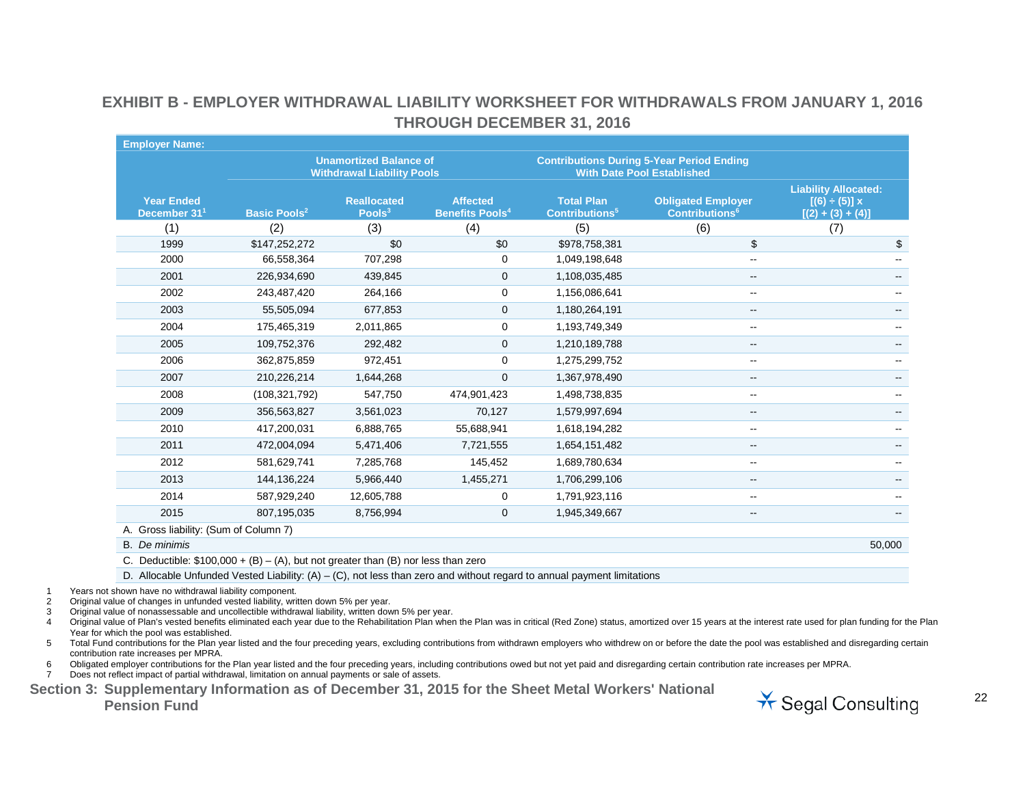| <b>Employer Name:</b>                         |                                |                                                                    |                                                      |                                                       |                                                                                       |                                                                          |
|-----------------------------------------------|--------------------------------|--------------------------------------------------------------------|------------------------------------------------------|-------------------------------------------------------|---------------------------------------------------------------------------------------|--------------------------------------------------------------------------|
|                                               |                                | <b>Unamortized Balance of</b><br><b>Withdrawal Liability Pools</b> |                                                      |                                                       | <b>Contributions During 5-Year Period Ending</b><br><b>With Date Pool Established</b> |                                                                          |
| <b>Year Ended</b><br>December 31 <sup>1</sup> | <b>Basic Pools<sup>2</sup></b> | <b>Reallocated</b><br>Pools <sup>3</sup>                           | <b>Affected</b><br><b>Benefits Pools<sup>4</sup></b> | <b>Total Plan</b><br><b>Contributions<sup>5</sup></b> | <b>Obligated Employer</b><br><b>Contributions<sup>6</sup></b>                         | <b>Liability Allocated:</b><br>$[(6) \div (5)] x$<br>$[(2) + (3) + (4)]$ |
| (1)                                           | (2)                            | (3)                                                                | (4)                                                  | (5)                                                   | (6)                                                                                   | (7)                                                                      |
| 1999                                          | \$147,252,272                  | \$0                                                                | \$0                                                  | \$978,758,381                                         | \$                                                                                    | \$                                                                       |
| 2000                                          | 66,558,364                     | 707,298                                                            | $\mathbf 0$                                          | 1,049,198,648                                         | $\overline{\phantom{a}}$                                                              | --                                                                       |
| 2001                                          | 226,934,690                    | 439,845                                                            | $\mathbf{0}$                                         | 1,108,035,485                                         | --                                                                                    |                                                                          |
| 2002                                          | 243,487,420                    | 264,166                                                            | 0                                                    | 1,156,086,641                                         | $\sim$                                                                                |                                                                          |
| 2003                                          | 55,505,094                     | 677,853                                                            | $\mathbf{0}$                                         | 1,180,264,191                                         | $\overline{\phantom{a}}$                                                              |                                                                          |
| 2004                                          | 175,465,319                    | 2,011,865                                                          | 0                                                    | 1,193,749,349                                         | $\overline{\phantom{a}}$                                                              |                                                                          |
| 2005                                          | 109,752,376                    | 292,482                                                            | $\mathbf 0$                                          | 1,210,189,788                                         | $\overline{\phantom{a}}$                                                              |                                                                          |
| 2006                                          | 362,875,859                    | 972,451                                                            | 0                                                    | 1,275,299,752                                         | $\overline{\phantom{a}}$                                                              |                                                                          |
| 2007                                          | 210,226,214                    | 1,644,268                                                          | $\mathbf{0}$                                         | 1,367,978,490                                         | $\overline{\phantom{m}}$                                                              | --                                                                       |
| 2008                                          | (108, 321, 792)                | 547,750                                                            | 474,901,423                                          | 1,498,738,835                                         | $\sim$                                                                                |                                                                          |
| 2009                                          | 356,563,827                    | 3,561,023                                                          | 70,127                                               | 1,579,997,694                                         | --                                                                                    |                                                                          |
| 2010                                          | 417,200,031                    | 6,888,765                                                          | 55,688,941                                           | 1,618,194,282                                         | $\overline{\phantom{a}}$                                                              |                                                                          |
| 2011                                          | 472,004,094                    | 5,471,406                                                          | 7,721,555                                            | 1,654,151,482                                         | --                                                                                    |                                                                          |
| 2012                                          | 581,629,741                    | 7,285,768                                                          | 145,452                                              | 1,689,780,634                                         | --                                                                                    |                                                                          |
| 2013                                          | 144,136,224                    | 5,966,440                                                          | 1,455,271                                            | 1,706,299,106                                         | --                                                                                    |                                                                          |
| 2014                                          | 587,929,240                    | 12,605,788                                                         | 0                                                    | 1,791,923,116                                         | --                                                                                    |                                                                          |
| 2015                                          | 807,195,035                    | 8,756,994                                                          | $\mathbf 0$                                          | 1,945,349,667                                         | $\overline{\phantom{m}}$                                                              | --                                                                       |
| A. Gross liability: (Sum of Column 7)         |                                |                                                                    |                                                      |                                                       |                                                                                       |                                                                          |
| <b>B.</b> De minimis                          |                                |                                                                    |                                                      |                                                       |                                                                                       | 50,000                                                                   |

#### **EXHIBIT B - EMPLOYER WITHDRAWAL LIABILITY WORKSHEET FOR WITHDRAWALS FROM JANUARY 1, 2016 THROUGH DECEMBER 31, 2016**

C. Deductible:  $$100,000 + (B) - (A)$ , but not greater than (B) nor less than zero

D. Allocable Unfunded Vested Liability:  $(A) - (C)$ , not less than zero and without regard to annual payment limitations

1 Years not shown have no withdrawal liability component.

2 Original value of changes in unfunded vested liability, written down 5% per year.

3 Original value of nonassessable and uncollectible withdrawal liability, written down 5% per year.

4 Original value of Plan's vested benefits eliminated each year due to the Rehabilitation Plan when the Plan was in critical (Red Zone) status, amortized over 15 years at the interest rate used for plan funding for the Pla Year for which the pool was established.

5 Total Fund contributions for the Plan year listed and the four preceding years, excluding contributions from withdrawn employers who withdrew on or before the date the pool was established and disregarding certain contribution rate increases per MPRA.

6 Obligated employer contributions for the Plan year listed and the four preceding years, including contributions owed but not yet paid and disregarding certain contribution rate increases per MPRA.

7 Does not reflect impact of partial withdrawal, limitation on annual payments or sale of assets.

**Section 3: Supplementary Information as of December 31, 2015 for the Sheet Metal Workers' National**  Pension Fund<br>Pension Fund<br>
<sup>22</sup><br>
Pension Fund

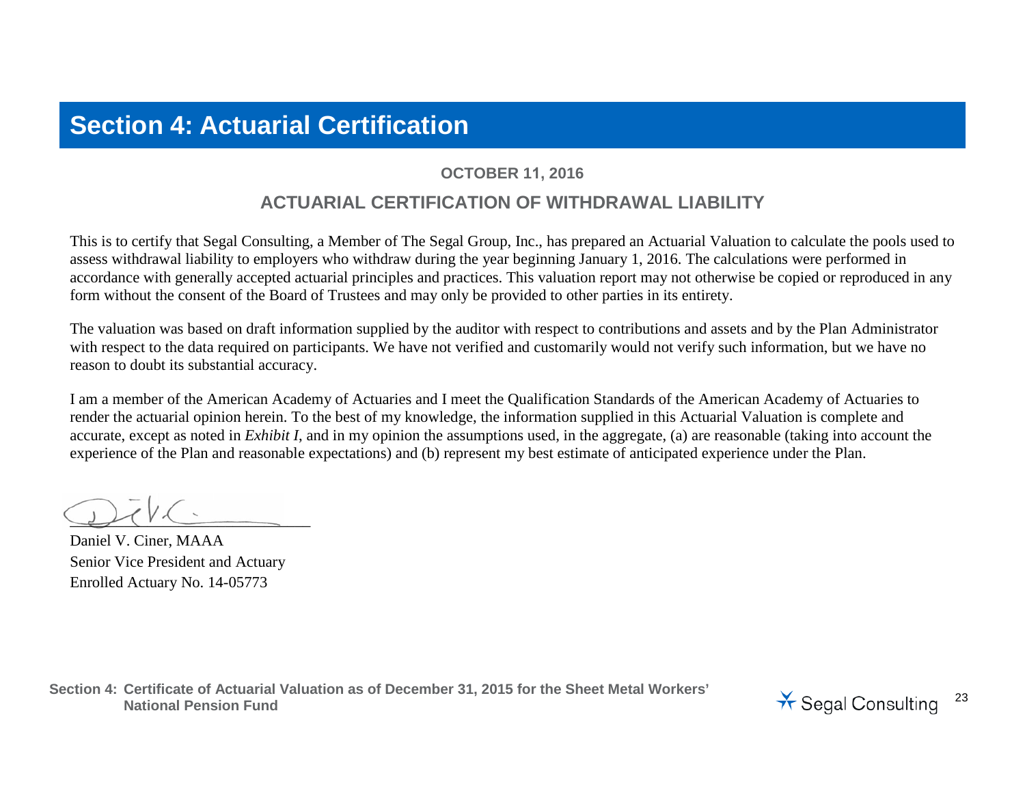## **Section 4: Actuarial Certification**

#### **OCTOBER 11, 2016**

### **ACTUARIAL CERTIFICATION OF WITHDRAWAL LIABILITY**

This is to certify that Segal Consulting, a Member of The Segal Group, Inc., has prepared an Actuarial Valuation to calculate the pools used to assess withdrawal liability to employers who withdraw during the year beginning January 1, 2016. The calculations were performed in accordance with generally accepted actuarial principles and practices. This valuation report may not otherwise be copied or reproduced in any form without the consent of the Board of Trustees and may only be provided to other parties in its entirety.

The valuation was based on draft information supplied by the auditor with respect to contributions and assets and by the Plan Administrator with respect to the data required on participants. We have not verified and customarily would not verify such information, but we have no reason to doubt its substantial accuracy.

I am a member of the American Academy of Actuaries and I meet the Qualification Standards of the American Academy of Actuaries to render the actuarial opinion herein. To the best of my knowledge, the information supplied in this Actuarial Valuation is complete and accurate, except as noted in *Exhibit I*, and in my opinion the assumptions used, in the aggregate, (a) are reasonable (taking into account the experience of the Plan and reasonable expectations) and (b) represent my best estimate of anticipated experience under the Plan.

 $\mathcal{L}$ 

Daniel V. Ciner, MAAA Senior Vice President and Actuary Enrolled Actuary No. 14-05773

**Section 4: Certificate of Actuarial Valuation as of December 31, 2015 for the Sheet Metal Workers'**  National Pension Fund<br>National Pension Fund<br>National Pension Fund

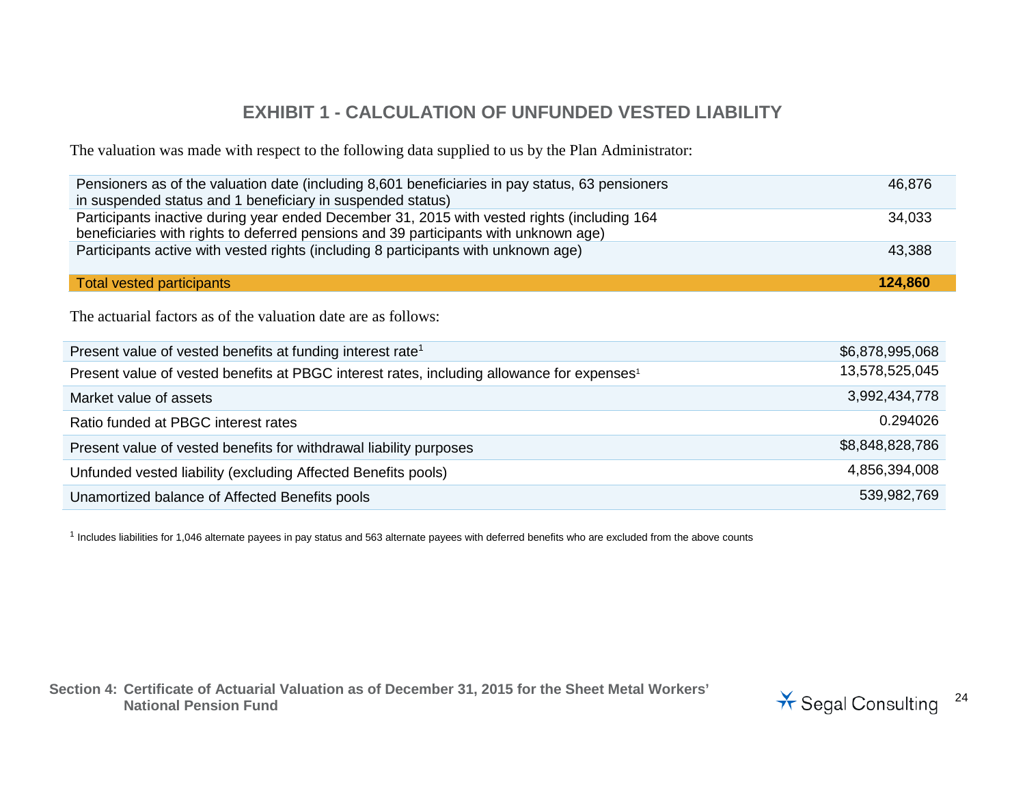## **EXHIBIT 1 - CALCULATION OF UNFUNDED VESTED LIABILITY**

The valuation was made with respect to the following data supplied to us by the Plan Administrator:

| Pensioners as of the valuation date (including 8,601 beneficiaries in pay status, 63 pensioners<br>in suspended status and 1 beneficiary in suspended status)                       | 46,876          |
|-------------------------------------------------------------------------------------------------------------------------------------------------------------------------------------|-----------------|
| Participants inactive during year ended December 31, 2015 with vested rights (including 164<br>beneficiaries with rights to deferred pensions and 39 participants with unknown age) | 34,033          |
| Participants active with vested rights (including 8 participants with unknown age)                                                                                                  | 43,388          |
| <b>Total vested participants</b>                                                                                                                                                    | 124,860         |
| The actuarial factors as of the valuation date are as follows:                                                                                                                      |                 |
| Present value of vested benefits at funding interest rate <sup>1</sup>                                                                                                              | \$6,878,995,068 |
| Present value of vested benefits at PBGC interest rates, including allowance for expenses <sup>1</sup>                                                                              | 13,578,525,045  |
| Market value of assets                                                                                                                                                              | 3,992,434,778   |
| Ratio funded at PBGC interest rates                                                                                                                                                 | 0.294026        |
|                                                                                                                                                                                     |                 |

| Present value of vested benefits for withdrawal liability purposes | \$8,848,828,786 |
|--------------------------------------------------------------------|-----------------|
| Unfunded vested liability (excluding Affected Benefits pools)      | 4.856.394.008   |
| Unamortized balance of Affected Benefits pools                     | 539,982,769     |

 $1$  Includes liabilities for 1,046 alternate payees in pay status and 563 alternate payees with deferred benefits who are excluded from the above counts

**Section 4: Certificate of Actuarial Valuation as of December 31, 2015 for the Sheet Metal Workers'** 

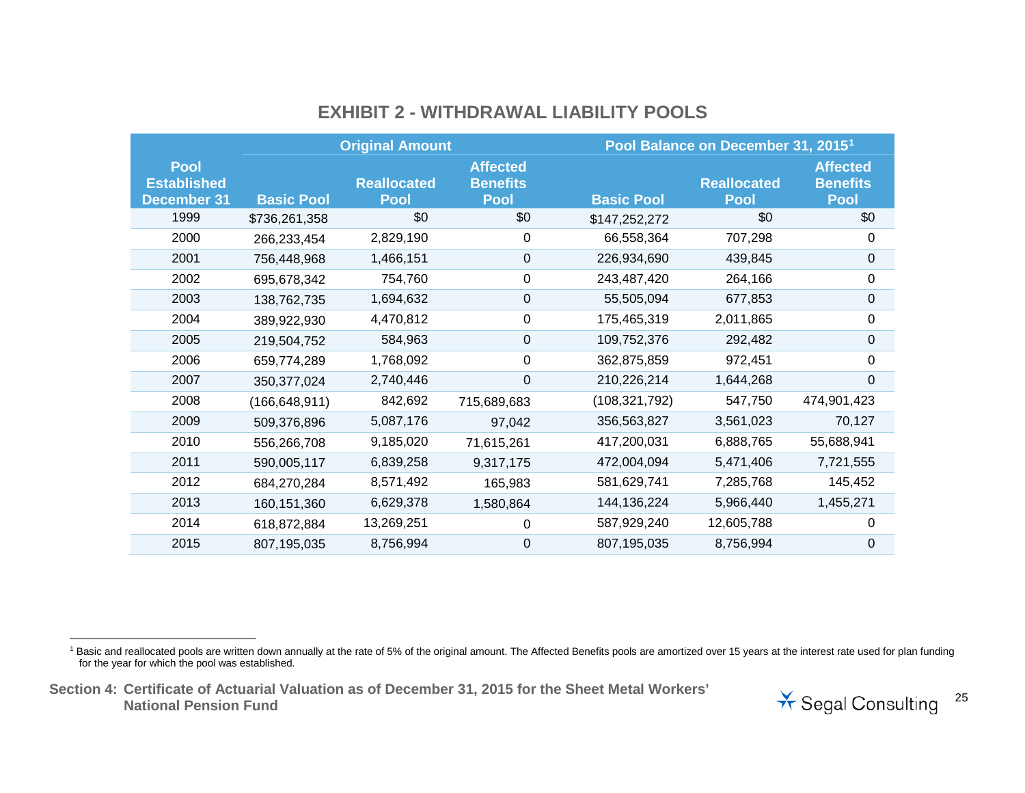|                                                         |                   | <b>Original Amount</b>            |                                                   |                   | Pool Balance on December 31, 2015 <sup>1</sup> |                                                   |
|---------------------------------------------------------|-------------------|-----------------------------------|---------------------------------------------------|-------------------|------------------------------------------------|---------------------------------------------------|
| <b>Pool</b><br><b>Established</b><br><b>December 31</b> | <b>Basic Pool</b> | <b>Reallocated</b><br><b>Pool</b> | <b>Affected</b><br><b>Benefits</b><br><b>Pool</b> | <b>Basic Pool</b> | <b>Reallocated</b><br><b>Pool</b>              | <b>Affected</b><br><b>Benefits</b><br><b>Pool</b> |
| 1999                                                    | \$736,261,358     | \$0                               | \$0                                               | \$147,252,272     | \$0                                            | \$0                                               |
| 2000                                                    | 266,233,454       | 2,829,190                         | 0                                                 | 66,558,364        | 707,298                                        | 0                                                 |
| 2001                                                    | 756,448,968       | 1,466,151                         | 0                                                 | 226,934,690       | 439,845                                        | 0                                                 |
| 2002                                                    | 695,678,342       | 754,760                           | 0                                                 | 243,487,420       | 264,166                                        | $\pmb{0}$                                         |
| 2003                                                    | 138,762,735       | 1,694,632                         | $\pmb{0}$                                         | 55,505,094        | 677,853                                        | $\pmb{0}$                                         |
| 2004                                                    | 389,922,930       | 4,470,812                         | 0                                                 | 175,465,319       | 2,011,865                                      | 0                                                 |
| 2005                                                    | 219,504,752       | 584,963                           | 0                                                 | 109,752,376       | 292,482                                        | $\mathbf 0$                                       |
| 2006                                                    | 659,774,289       | 1,768,092                         | 0                                                 | 362,875,859       | 972,451                                        | 0                                                 |
| 2007                                                    | 350, 377, 024     | 2,740,446                         | 0                                                 | 210,226,214       | 1,644,268                                      | $\Omega$                                          |
| 2008                                                    | (166, 648, 911)   | 842,692                           | 715,689,683                                       | (108, 321, 792)   | 547,750                                        | 474,901,423                                       |
| 2009                                                    | 509,376,896       | 5,087,176                         | 97,042                                            | 356,563,827       | 3,561,023                                      | 70,127                                            |
| 2010                                                    | 556,266,708       | 9,185,020                         | 71,615,261                                        | 417,200,031       | 6,888,765                                      | 55,688,941                                        |
| 2011                                                    | 590,005,117       | 6,839,258                         | 9,317,175                                         | 472,004,094       | 5,471,406                                      | 7,721,555                                         |
| 2012                                                    | 684,270,284       | 8,571,492                         | 165,983                                           | 581,629,741       | 7,285,768                                      | 145,452                                           |
| 2013                                                    | 160,151,360       | 6,629,378                         | 1,580,864                                         | 144, 136, 224     | 5,966,440                                      | 1,455,271                                         |
| 2014                                                    | 618,872,884       | 13,269,251                        | 0                                                 | 587,929,240       | 12,605,788                                     | 0                                                 |
| 2015                                                    | 807,195,035       | 8,756,994                         | 0                                                 | 807,195,035       | 8,756,994                                      | 0                                                 |

## <span id="page-24-0"></span>**EXHIBIT 2 - WITHDRAWAL LIABILITY POOLS**

<sup>1</sup> Basic and reallocated pools are written down annually at the rate of 5% of the original amount. The Affected Benefits pools are amortized over 15 years at the interest rate used for plan funding for the year for which the pool was established.



**Section 4: Certificate of Actuarial Valuation as of December 31, 2015 for the Sheet Metal Workers'**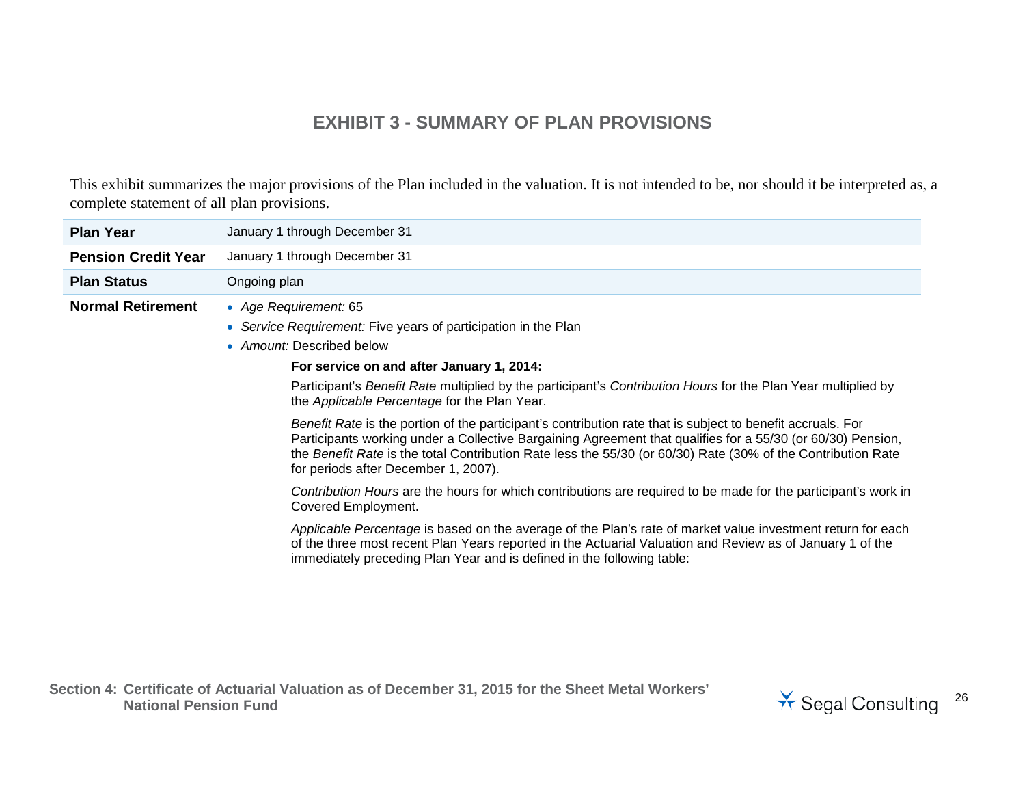### **EXHIBIT 3 - SUMMARY OF PLAN PROVISIONS**

This exhibit summarizes the major provisions of the Plan included in the valuation. It is not intended to be, nor should it be interpreted as, a complete statement of all plan provisions.

| January 1 through December 31                                                                                                                                                                                                                                                                                                                                                                                                                                                                                                                                                                                                                                                                                                                                                                                                                                                                                                                                                                                                                                                                                                                                           |
|-------------------------------------------------------------------------------------------------------------------------------------------------------------------------------------------------------------------------------------------------------------------------------------------------------------------------------------------------------------------------------------------------------------------------------------------------------------------------------------------------------------------------------------------------------------------------------------------------------------------------------------------------------------------------------------------------------------------------------------------------------------------------------------------------------------------------------------------------------------------------------------------------------------------------------------------------------------------------------------------------------------------------------------------------------------------------------------------------------------------------------------------------------------------------|
| January 1 through December 31                                                                                                                                                                                                                                                                                                                                                                                                                                                                                                                                                                                                                                                                                                                                                                                                                                                                                                                                                                                                                                                                                                                                           |
| Ongoing plan                                                                                                                                                                                                                                                                                                                                                                                                                                                                                                                                                                                                                                                                                                                                                                                                                                                                                                                                                                                                                                                                                                                                                            |
| • Age Requirement: 65<br>• Service Requirement: Five years of participation in the Plan<br>• Amount: Described below<br>For service on and after January 1, 2014:<br>Participant's Benefit Rate multiplied by the participant's Contribution Hours for the Plan Year multiplied by<br>the Applicable Percentage for the Plan Year.<br>Benefit Rate is the portion of the participant's contribution rate that is subject to benefit accruals. For<br>Participants working under a Collective Bargaining Agreement that qualifies for a 55/30 (or 60/30) Pension,<br>the Benefit Rate is the total Contribution Rate less the 55/30 (or 60/30) Rate (30% of the Contribution Rate<br>for periods after December 1, 2007).<br>Contribution Hours are the hours for which contributions are required to be made for the participant's work in<br>Covered Employment.<br>Applicable Percentage is based on the average of the Plan's rate of market value investment return for each<br>of the three most recent Plan Years reported in the Actuarial Valuation and Review as of January 1 of the<br>immediately preceding Plan Year and is defined in the following table: |
|                                                                                                                                                                                                                                                                                                                                                                                                                                                                                                                                                                                                                                                                                                                                                                                                                                                                                                                                                                                                                                                                                                                                                                         |

**Section 4: Certificate of Actuarial Valuation as of December 31, 2015 for the Sheet Metal Workers'** 

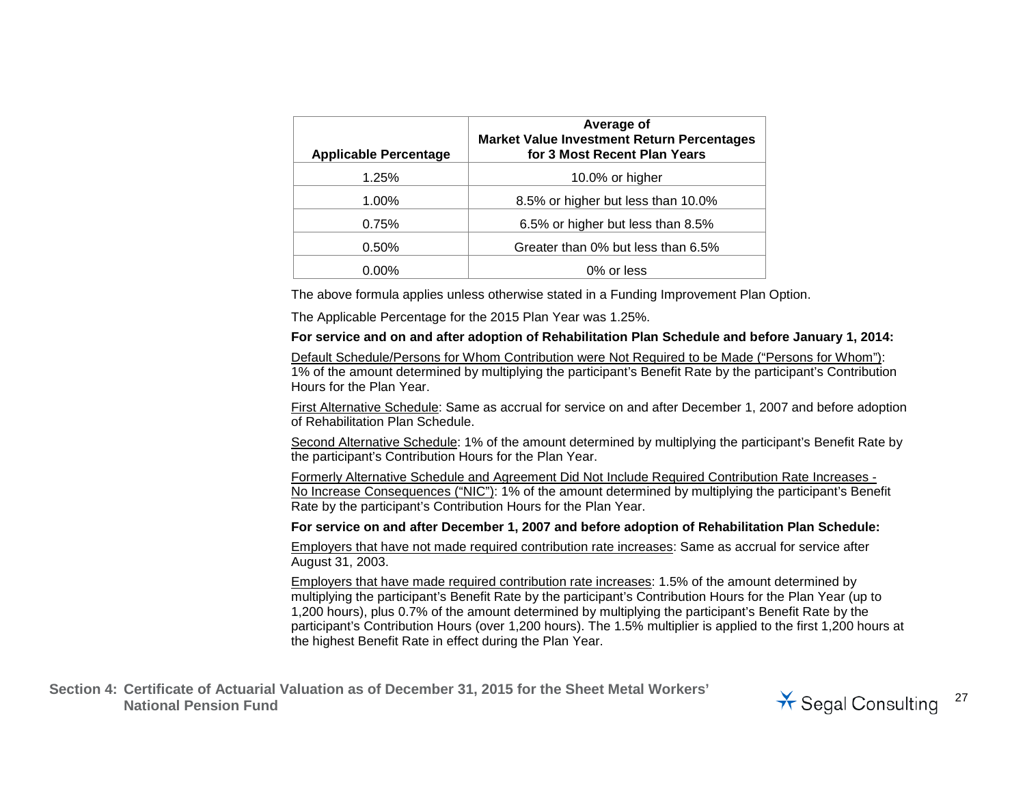| <b>Applicable Percentage</b> | Average of<br><b>Market Value Investment Return Percentages</b><br>for 3 Most Recent Plan Years |
|------------------------------|-------------------------------------------------------------------------------------------------|
| 1.25%                        | 10.0% or higher                                                                                 |
| 1.00%                        | 8.5% or higher but less than 10.0%                                                              |
| 0.75%                        | 6.5% or higher but less than 8.5%                                                               |
| 0.50%                        | Greater than 0% but less than 6.5%                                                              |
| 0.00%                        | 0% or less                                                                                      |

The above formula applies unless otherwise stated in a Funding Improvement Plan Option.

The Applicable Percentage for the 2015 Plan Year was 1.25%.

#### **For service and on and after adoption of Rehabilitation Plan Schedule and before January 1, 2014:**

Default Schedule/Persons for Whom Contribution were Not Required to be Made ("Persons for Whom"): 1% of the amount determined by multiplying the participant's Benefit Rate by the participant's Contribution Hours for the Plan Year.

First Alternative Schedule: Same as accrual for service on and after December 1, 2007 and before adoption of Rehabilitation Plan Schedule.

Second Alternative Schedule: 1% of the amount determined by multiplying the participant's Benefit Rate by the participant's Contribution Hours for the Plan Year.

Formerly Alternative Schedule and Agreement Did Not Include Required Contribution Rate Increases - No Increase Consequences ("NIC"): 1% of the amount determined by multiplying the participant's Benefit Rate by the participant's Contribution Hours for the Plan Year.

#### **For service on and after December 1, 2007 and before adoption of Rehabilitation Plan Schedule:**

Employers that have not made required contribution rate increases: Same as accrual for service after August 31, 2003.

Employers that have made required contribution rate increases: 1.5% of the amount determined by multiplying the participant's Benefit Rate by the participant's Contribution Hours for the Plan Year (up to 1,200 hours), plus 0.7% of the amount determined by multiplying the participant's Benefit Rate by the participant's Contribution Hours (over 1,200 hours). The 1.5% multiplier is applied to the first 1,200 hours at the highest Benefit Rate in effect during the Plan Year.

**Section 4: Certificate of Actuarial Valuation as of December 31, 2015 for the Sheet Metal Workers'**  National Pension Fund<br>National Pension Fund<br>
<sup>27</sup> Segal Consulting

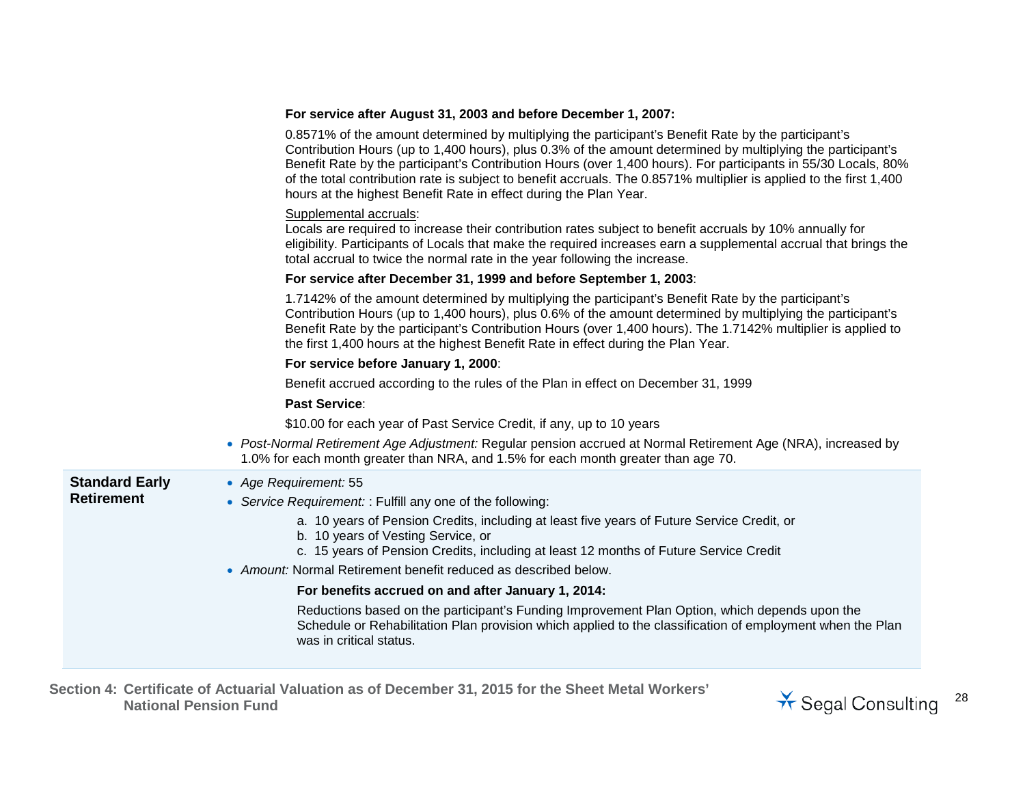|                       | For service after August 31, 2003 and before December 1, 2007:                                                                                                                                                                                                                                                                                                                                                                                                                                                                   |
|-----------------------|----------------------------------------------------------------------------------------------------------------------------------------------------------------------------------------------------------------------------------------------------------------------------------------------------------------------------------------------------------------------------------------------------------------------------------------------------------------------------------------------------------------------------------|
|                       | 0.8571% of the amount determined by multiplying the participant's Benefit Rate by the participant's<br>Contribution Hours (up to 1,400 hours), plus 0.3% of the amount determined by multiplying the participant's<br>Benefit Rate by the participant's Contribution Hours (over 1,400 hours). For participants in 55/30 Locals, 80%<br>of the total contribution rate is subject to benefit accruals. The 0.8571% multiplier is applied to the first 1,400<br>hours at the highest Benefit Rate in effect during the Plan Year. |
|                       | Supplemental accruals:<br>Locals are required to increase their contribution rates subject to benefit accruals by 10% annually for<br>eligibility. Participants of Locals that make the required increases earn a supplemental accrual that brings the<br>total accrual to twice the normal rate in the year following the increase.                                                                                                                                                                                             |
|                       | For service after December 31, 1999 and before September 1, 2003:                                                                                                                                                                                                                                                                                                                                                                                                                                                                |
|                       | 1.7142% of the amount determined by multiplying the participant's Benefit Rate by the participant's<br>Contribution Hours (up to 1,400 hours), plus 0.6% of the amount determined by multiplying the participant's<br>Benefit Rate by the participant's Contribution Hours (over 1,400 hours). The 1.7142% multiplier is applied to<br>the first 1,400 hours at the highest Benefit Rate in effect during the Plan Year.                                                                                                         |
|                       | For service before January 1, 2000:                                                                                                                                                                                                                                                                                                                                                                                                                                                                                              |
|                       | Benefit accrued according to the rules of the Plan in effect on December 31, 1999                                                                                                                                                                                                                                                                                                                                                                                                                                                |
|                       | <b>Past Service:</b>                                                                                                                                                                                                                                                                                                                                                                                                                                                                                                             |
|                       | \$10.00 for each year of Past Service Credit, if any, up to 10 years                                                                                                                                                                                                                                                                                                                                                                                                                                                             |
|                       | • Post-Normal Retirement Age Adjustment: Regular pension accrued at Normal Retirement Age (NRA), increased by<br>1.0% for each month greater than NRA, and 1.5% for each month greater than age 70.                                                                                                                                                                                                                                                                                                                              |
| <b>Standard Early</b> | • Age Requirement: 55                                                                                                                                                                                                                                                                                                                                                                                                                                                                                                            |
| <b>Retirement</b>     | • Service Requirement: : Fulfill any one of the following:                                                                                                                                                                                                                                                                                                                                                                                                                                                                       |
|                       | a. 10 years of Pension Credits, including at least five years of Future Service Credit, or<br>b. 10 years of Vesting Service, or<br>c. 15 years of Pension Credits, including at least 12 months of Future Service Credit                                                                                                                                                                                                                                                                                                        |
|                       | • Amount: Normal Retirement benefit reduced as described below.                                                                                                                                                                                                                                                                                                                                                                                                                                                                  |
|                       | For benefits accrued on and after January 1, 2014:                                                                                                                                                                                                                                                                                                                                                                                                                                                                               |
|                       | Reductions based on the participant's Funding Improvement Plan Option, which depends upon the<br>Schedule or Rehabilitation Plan provision which applied to the classification of employment when the Plan<br>was in critical status.                                                                                                                                                                                                                                                                                            |
|                       |                                                                                                                                                                                                                                                                                                                                                                                                                                                                                                                                  |

**Section 4: Certificate of Actuarial Valuation as of December 31, 2015 for the Sheet Metal Workers'** 

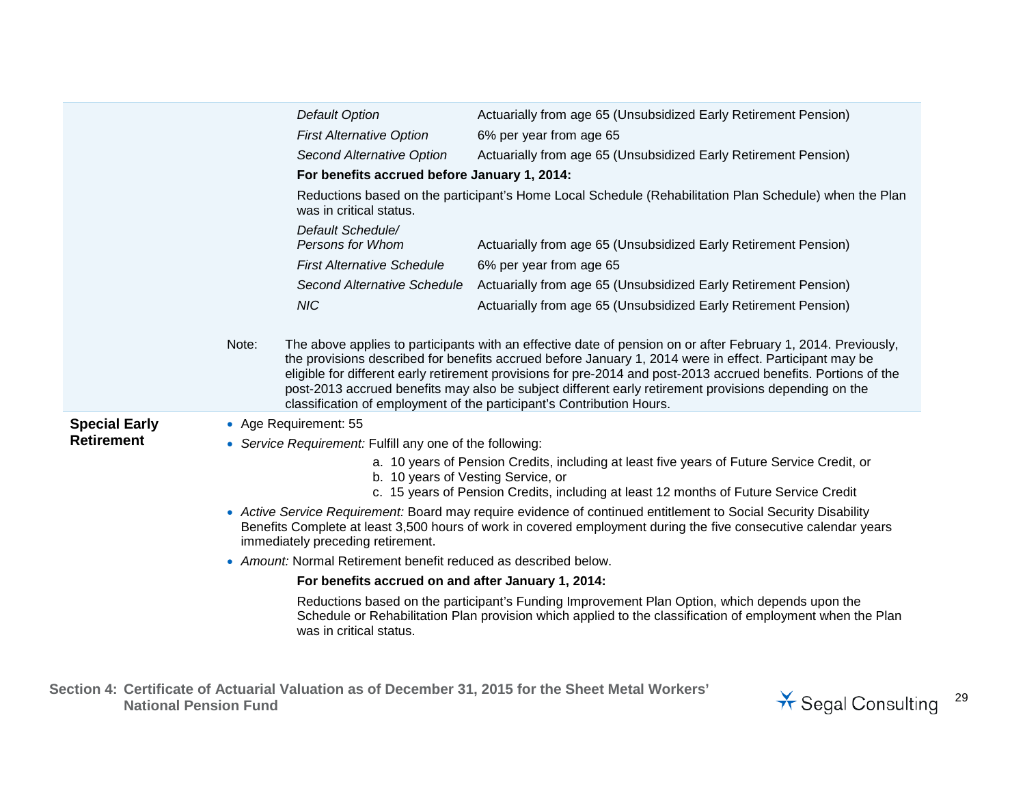|                      |                                                          | Default Option                                                  | Actuarially from age 65 (Unsubsidized Early Retirement Pension)                                                                                                                                                                                                                                                                                                                                                                                                                                                               |  |  |
|----------------------|----------------------------------------------------------|-----------------------------------------------------------------|-------------------------------------------------------------------------------------------------------------------------------------------------------------------------------------------------------------------------------------------------------------------------------------------------------------------------------------------------------------------------------------------------------------------------------------------------------------------------------------------------------------------------------|--|--|
|                      |                                                          | <b>First Alternative Option</b>                                 | 6% per year from age 65                                                                                                                                                                                                                                                                                                                                                                                                                                                                                                       |  |  |
|                      |                                                          | <b>Second Alternative Option</b>                                | Actuarially from age 65 (Unsubsidized Early Retirement Pension)                                                                                                                                                                                                                                                                                                                                                                                                                                                               |  |  |
|                      |                                                          | For benefits accrued before January 1, 2014:                    |                                                                                                                                                                                                                                                                                                                                                                                                                                                                                                                               |  |  |
|                      |                                                          | was in critical status.                                         | Reductions based on the participant's Home Local Schedule (Rehabilitation Plan Schedule) when the Plan                                                                                                                                                                                                                                                                                                                                                                                                                        |  |  |
|                      |                                                          | Default Schedule/<br>Persons for Whom                           | Actuarially from age 65 (Unsubsidized Early Retirement Pension)                                                                                                                                                                                                                                                                                                                                                                                                                                                               |  |  |
|                      |                                                          | <b>First Alternative Schedule</b>                               | 6% per year from age 65                                                                                                                                                                                                                                                                                                                                                                                                                                                                                                       |  |  |
|                      |                                                          | <b>Second Alternative Schedule</b>                              | Actuarially from age 65 (Unsubsidized Early Retirement Pension)                                                                                                                                                                                                                                                                                                                                                                                                                                                               |  |  |
|                      |                                                          | <b>NIC</b>                                                      | Actuarially from age 65 (Unsubsidized Early Retirement Pension)                                                                                                                                                                                                                                                                                                                                                                                                                                                               |  |  |
|                      | Note:                                                    |                                                                 | The above applies to participants with an effective date of pension on or after February 1, 2014. Previously,<br>the provisions described for benefits accrued before January 1, 2014 were in effect. Participant may be<br>eligible for different early retirement provisions for pre-2014 and post-2013 accrued benefits. Portions of the<br>post-2013 accrued benefits may also be subject different early retirement provisions depending on the<br>classification of employment of the participant's Contribution Hours. |  |  |
| <b>Special Early</b> |                                                          | • Age Requirement: 55                                           |                                                                                                                                                                                                                                                                                                                                                                                                                                                                                                                               |  |  |
| <b>Retirement</b>    | • Service Requirement: Fulfill any one of the following: |                                                                 |                                                                                                                                                                                                                                                                                                                                                                                                                                                                                                                               |  |  |
|                      |                                                          | b. 10 years of Vesting Service, or                              | a. 10 years of Pension Credits, including at least five years of Future Service Credit, or                                                                                                                                                                                                                                                                                                                                                                                                                                    |  |  |
|                      |                                                          |                                                                 | c. 15 years of Pension Credits, including at least 12 months of Future Service Credit                                                                                                                                                                                                                                                                                                                                                                                                                                         |  |  |
|                      |                                                          | immediately preceding retirement.                               | • Active Service Requirement: Board may require evidence of continued entitlement to Social Security Disability<br>Benefits Complete at least 3,500 hours of work in covered employment during the five consecutive calendar years                                                                                                                                                                                                                                                                                            |  |  |
|                      |                                                          | • Amount: Normal Retirement benefit reduced as described below. |                                                                                                                                                                                                                                                                                                                                                                                                                                                                                                                               |  |  |
|                      |                                                          | For benefits accrued on and after January 1, 2014:              |                                                                                                                                                                                                                                                                                                                                                                                                                                                                                                                               |  |  |
|                      |                                                          | was in critical status.                                         | Reductions based on the participant's Funding Improvement Plan Option, which depends upon the<br>Schedule or Rehabilitation Plan provision which applied to the classification of employment when the Plan                                                                                                                                                                                                                                                                                                                    |  |  |

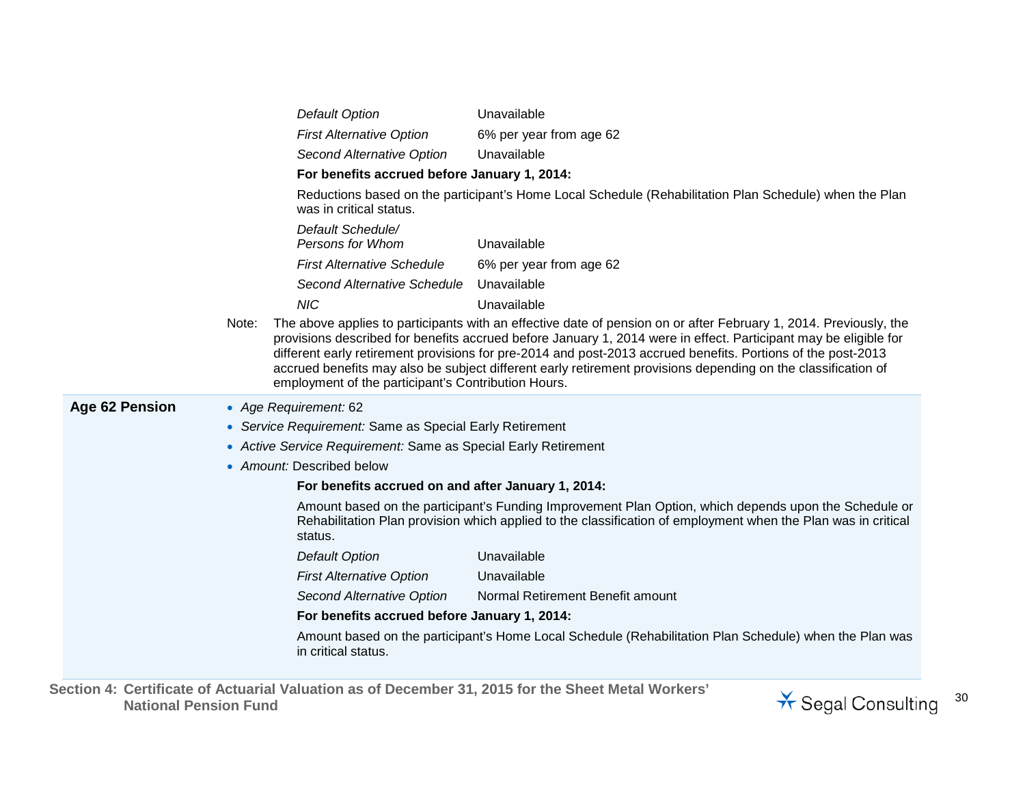|                       |       | <b>Default Option</b>                                        | Unavailable                                                                                                                                                                                                                                                                                                                                                                                                                                                            |
|-----------------------|-------|--------------------------------------------------------------|------------------------------------------------------------------------------------------------------------------------------------------------------------------------------------------------------------------------------------------------------------------------------------------------------------------------------------------------------------------------------------------------------------------------------------------------------------------------|
|                       |       | <b>First Alternative Option</b>                              | 6% per year from age 62                                                                                                                                                                                                                                                                                                                                                                                                                                                |
|                       |       | Second Alternative Option                                    | Unavailable                                                                                                                                                                                                                                                                                                                                                                                                                                                            |
|                       |       | For benefits accrued before January 1, 2014:                 |                                                                                                                                                                                                                                                                                                                                                                                                                                                                        |
|                       |       | was in critical status.                                      | Reductions based on the participant's Home Local Schedule (Rehabilitation Plan Schedule) when the Plan                                                                                                                                                                                                                                                                                                                                                                 |
|                       |       | Default Schedule/<br>Persons for Whom                        | Unavailable                                                                                                                                                                                                                                                                                                                                                                                                                                                            |
|                       |       | <b>First Alternative Schedule</b>                            | 6% per year from age 62                                                                                                                                                                                                                                                                                                                                                                                                                                                |
|                       |       | Second Alternative Schedule                                  | Unavailable                                                                                                                                                                                                                                                                                                                                                                                                                                                            |
|                       |       | <b>NIC</b>                                                   | Unavailable                                                                                                                                                                                                                                                                                                                                                                                                                                                            |
|                       | Note: | employment of the participant's Contribution Hours.          | The above applies to participants with an effective date of pension on or after February 1, 2014. Previously, the<br>provisions described for benefits accrued before January 1, 2014 were in effect. Participant may be eligible for<br>different early retirement provisions for pre-2014 and post-2013 accrued benefits. Portions of the post-2013<br>accrued benefits may also be subject different early retirement provisions depending on the classification of |
| <b>Age 62 Pension</b> |       | • Age Requirement: 62                                        |                                                                                                                                                                                                                                                                                                                                                                                                                                                                        |
|                       |       | • Service Requirement: Same as Special Early Retirement      |                                                                                                                                                                                                                                                                                                                                                                                                                                                                        |
|                       |       | Active Service Requirement: Same as Special Early Retirement |                                                                                                                                                                                                                                                                                                                                                                                                                                                                        |
|                       |       | • Amount: Described below                                    |                                                                                                                                                                                                                                                                                                                                                                                                                                                                        |
|                       |       | For benefits accrued on and after January 1, 2014:           |                                                                                                                                                                                                                                                                                                                                                                                                                                                                        |
|                       |       | status.                                                      | Amount based on the participant's Funding Improvement Plan Option, which depends upon the Schedule or<br>Rehabilitation Plan provision which applied to the classification of employment when the Plan was in critical                                                                                                                                                                                                                                                 |
|                       |       | <b>Default Option</b>                                        | Unavailable                                                                                                                                                                                                                                                                                                                                                                                                                                                            |
|                       |       | <b>First Alternative Option</b>                              | Unavailable                                                                                                                                                                                                                                                                                                                                                                                                                                                            |
|                       |       | <b>Second Alternative Option</b>                             | Normal Retirement Benefit amount                                                                                                                                                                                                                                                                                                                                                                                                                                       |
|                       |       | For benefits accrued before January 1, 2014:                 |                                                                                                                                                                                                                                                                                                                                                                                                                                                                        |
|                       |       | in critical status.                                          | Amount based on the participant's Home Local Schedule (Rehabilitation Plan Schedule) when the Plan was                                                                                                                                                                                                                                                                                                                                                                 |

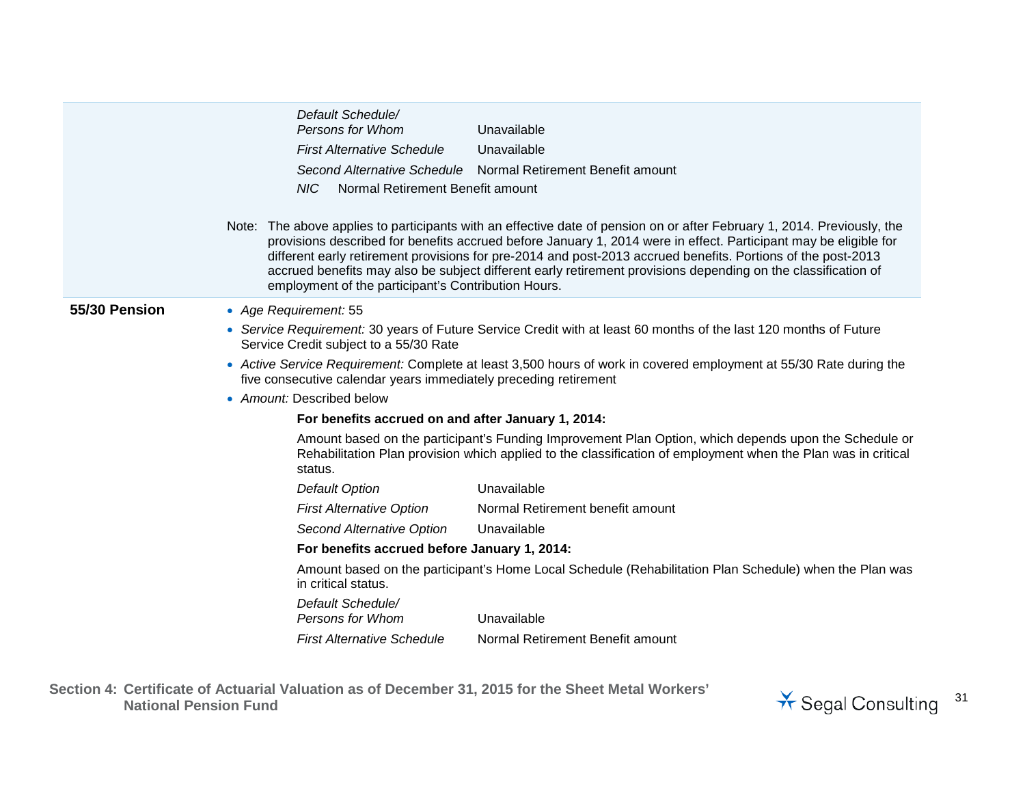|               | Default Schedule/                                                                                                                                                                                                                                                                                                                                                                                                                                                                                                                   |
|---------------|-------------------------------------------------------------------------------------------------------------------------------------------------------------------------------------------------------------------------------------------------------------------------------------------------------------------------------------------------------------------------------------------------------------------------------------------------------------------------------------------------------------------------------------|
|               | Persons for Whom<br>Unavailable                                                                                                                                                                                                                                                                                                                                                                                                                                                                                                     |
|               | <b>First Alternative Schedule</b><br>Unavailable                                                                                                                                                                                                                                                                                                                                                                                                                                                                                    |
|               | Second Alternative Schedule Normal Retirement Benefit amount                                                                                                                                                                                                                                                                                                                                                                                                                                                                        |
|               | Normal Retirement Benefit amount<br>NIC                                                                                                                                                                                                                                                                                                                                                                                                                                                                                             |
|               | Note: The above applies to participants with an effective date of pension on or after February 1, 2014. Previously, the<br>provisions described for benefits accrued before January 1, 2014 were in effect. Participant may be eligible for<br>different early retirement provisions for pre-2014 and post-2013 accrued benefits. Portions of the post-2013<br>accrued benefits may also be subject different early retirement provisions depending on the classification of<br>employment of the participant's Contribution Hours. |
| 55/30 Pension | • Age Requirement: 55                                                                                                                                                                                                                                                                                                                                                                                                                                                                                                               |
|               | • Service Requirement: 30 years of Future Service Credit with at least 60 months of the last 120 months of Future<br>Service Credit subject to a 55/30 Rate                                                                                                                                                                                                                                                                                                                                                                         |
|               | • Active Service Requirement: Complete at least 3,500 hours of work in covered employment at 55/30 Rate during the<br>five consecutive calendar years immediately preceding retirement                                                                                                                                                                                                                                                                                                                                              |
|               | • Amount: Described below                                                                                                                                                                                                                                                                                                                                                                                                                                                                                                           |
|               | For benefits accrued on and after January 1, 2014:                                                                                                                                                                                                                                                                                                                                                                                                                                                                                  |
|               | Amount based on the participant's Funding Improvement Plan Option, which depends upon the Schedule or<br>Rehabilitation Plan provision which applied to the classification of employment when the Plan was in critical<br>status.                                                                                                                                                                                                                                                                                                   |
|               | Unavailable<br><b>Default Option</b>                                                                                                                                                                                                                                                                                                                                                                                                                                                                                                |
|               | Normal Retirement benefit amount<br><b>First Alternative Option</b>                                                                                                                                                                                                                                                                                                                                                                                                                                                                 |
|               | Second Alternative Option<br>Unavailable                                                                                                                                                                                                                                                                                                                                                                                                                                                                                            |
|               | For benefits accrued before January 1, 2014:                                                                                                                                                                                                                                                                                                                                                                                                                                                                                        |
|               | Amount based on the participant's Home Local Schedule (Rehabilitation Plan Schedule) when the Plan was<br>in critical status.                                                                                                                                                                                                                                                                                                                                                                                                       |
|               | Default Schedule/<br>Persons for Whom<br>Unavailable                                                                                                                                                                                                                                                                                                                                                                                                                                                                                |
|               | Normal Retirement Benefit amount<br><b>First Alternative Schedule</b>                                                                                                                                                                                                                                                                                                                                                                                                                                                               |
|               |                                                                                                                                                                                                                                                                                                                                                                                                                                                                                                                                     |

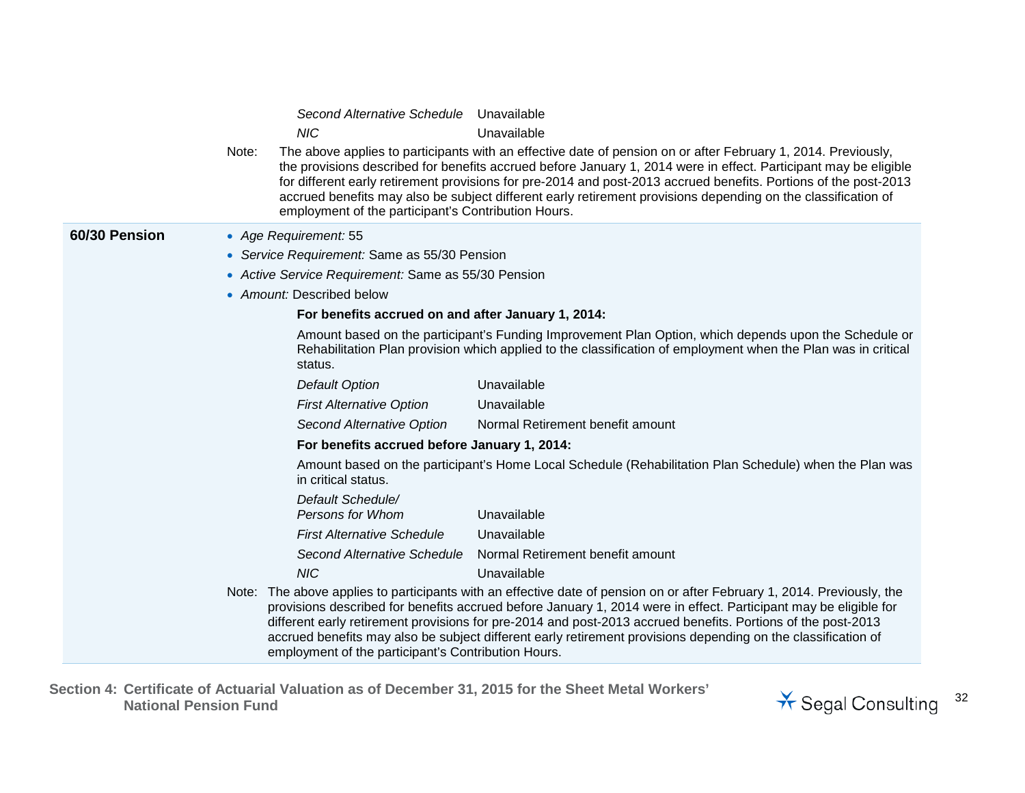|               | Note: | Second Alternative Schedule Unavailable<br><b>NIC</b><br>employment of the participant's Contribution Hours. | Unavailable<br>The above applies to participants with an effective date of pension on or after February 1, 2014. Previously,<br>the provisions described for benefits accrued before January 1, 2014 were in effect. Participant may be eligible<br>for different early retirement provisions for pre-2014 and post-2013 accrued benefits. Portions of the post-2013<br>accrued benefits may also be subject different early retirement provisions depending on the classification of |
|---------------|-------|--------------------------------------------------------------------------------------------------------------|---------------------------------------------------------------------------------------------------------------------------------------------------------------------------------------------------------------------------------------------------------------------------------------------------------------------------------------------------------------------------------------------------------------------------------------------------------------------------------------|
| 60/30 Pension |       | • Age Requirement: 55                                                                                        |                                                                                                                                                                                                                                                                                                                                                                                                                                                                                       |
|               |       | • Service Requirement: Same as 55/30 Pension                                                                 |                                                                                                                                                                                                                                                                                                                                                                                                                                                                                       |
|               |       | • Active Service Requirement: Same as 55/30 Pension                                                          |                                                                                                                                                                                                                                                                                                                                                                                                                                                                                       |
|               |       | • Amount: Described below                                                                                    |                                                                                                                                                                                                                                                                                                                                                                                                                                                                                       |
|               |       | For benefits accrued on and after January 1, 2014:                                                           |                                                                                                                                                                                                                                                                                                                                                                                                                                                                                       |
|               |       | status.                                                                                                      | Amount based on the participant's Funding Improvement Plan Option, which depends upon the Schedule or<br>Rehabilitation Plan provision which applied to the classification of employment when the Plan was in critical                                                                                                                                                                                                                                                                |
|               |       | <b>Default Option</b>                                                                                        | Unavailable                                                                                                                                                                                                                                                                                                                                                                                                                                                                           |
|               |       | <b>First Alternative Option</b>                                                                              | Unavailable                                                                                                                                                                                                                                                                                                                                                                                                                                                                           |
|               |       | Second Alternative Option                                                                                    | Normal Retirement benefit amount                                                                                                                                                                                                                                                                                                                                                                                                                                                      |
|               |       | For benefits accrued before January 1, 2014:                                                                 |                                                                                                                                                                                                                                                                                                                                                                                                                                                                                       |
|               |       | in critical status.                                                                                          | Amount based on the participant's Home Local Schedule (Rehabilitation Plan Schedule) when the Plan was                                                                                                                                                                                                                                                                                                                                                                                |
|               |       | Default Schedule/                                                                                            |                                                                                                                                                                                                                                                                                                                                                                                                                                                                                       |
|               |       | Persons for Whom                                                                                             | Unavailable                                                                                                                                                                                                                                                                                                                                                                                                                                                                           |
|               |       | <b>First Alternative Schedule</b>                                                                            | Unavailable                                                                                                                                                                                                                                                                                                                                                                                                                                                                           |
|               |       | Second Alternative Schedule                                                                                  | Normal Retirement benefit amount                                                                                                                                                                                                                                                                                                                                                                                                                                                      |
|               |       | <b>NIC</b>                                                                                                   | Unavailable                                                                                                                                                                                                                                                                                                                                                                                                                                                                           |
|               |       | employment of the participant's Contribution Hours.                                                          | Note: The above applies to participants with an effective date of pension on or after February 1, 2014. Previously, the<br>provisions described for benefits accrued before January 1, 2014 were in effect. Participant may be eligible for<br>different early retirement provisions for pre-2014 and post-2013 accrued benefits. Portions of the post-2013<br>accrued benefits may also be subject different early retirement provisions depending on the classification of          |

**Section 4: Certificate of Actuarial Valuation as of December 31, 2015 for the Sheet Metal Workers'** 

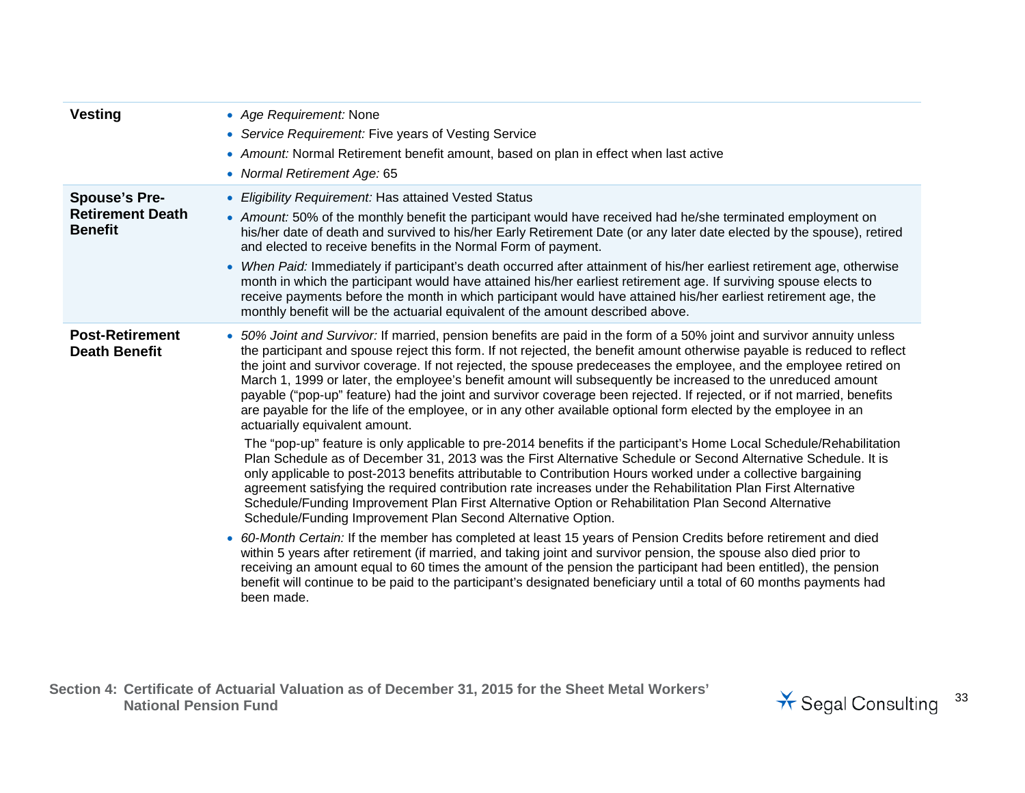| <b>Vesting</b>                                                    | • Age Requirement: None<br>• Service Requirement: Five years of Vesting Service<br>• Amount: Normal Retirement benefit amount, based on plan in effect when last active<br>• Normal Retirement Age: 65                                                                                                                                                                                                                                                                                                                                                                                                                                                                                                                                                                                                                                                                                                                                                                                                                                                                                                                                                                                                                                                                                                                                                                                                                                                                                                                                                                                                                                                                                                                                                                                                                                                                                                                       |
|-------------------------------------------------------------------|------------------------------------------------------------------------------------------------------------------------------------------------------------------------------------------------------------------------------------------------------------------------------------------------------------------------------------------------------------------------------------------------------------------------------------------------------------------------------------------------------------------------------------------------------------------------------------------------------------------------------------------------------------------------------------------------------------------------------------------------------------------------------------------------------------------------------------------------------------------------------------------------------------------------------------------------------------------------------------------------------------------------------------------------------------------------------------------------------------------------------------------------------------------------------------------------------------------------------------------------------------------------------------------------------------------------------------------------------------------------------------------------------------------------------------------------------------------------------------------------------------------------------------------------------------------------------------------------------------------------------------------------------------------------------------------------------------------------------------------------------------------------------------------------------------------------------------------------------------------------------------------------------------------------------|
| <b>Spouse's Pre-</b><br><b>Retirement Death</b><br><b>Benefit</b> | <b>Eligibility Requirement: Has attained Vested Status</b><br>• Amount: 50% of the monthly benefit the participant would have received had he/she terminated employment on<br>his/her date of death and survived to his/her Early Retirement Date (or any later date elected by the spouse), retired<br>and elected to receive benefits in the Normal Form of payment.<br>• When Paid: Immediately if participant's death occurred after attainment of his/her earliest retirement age, otherwise<br>month in which the participant would have attained his/her earliest retirement age. If surviving spouse elects to<br>receive payments before the month in which participant would have attained his/her earliest retirement age, the<br>monthly benefit will be the actuarial equivalent of the amount described above.                                                                                                                                                                                                                                                                                                                                                                                                                                                                                                                                                                                                                                                                                                                                                                                                                                                                                                                                                                                                                                                                                                 |
| <b>Post-Retirement</b><br><b>Death Benefit</b>                    | • 50% Joint and Survivor: If married, pension benefits are paid in the form of a 50% joint and survivor annuity unless<br>the participant and spouse reject this form. If not rejected, the benefit amount otherwise payable is reduced to reflect<br>the joint and survivor coverage. If not rejected, the spouse predeceases the employee, and the employee retired on<br>March 1, 1999 or later, the employee's benefit amount will subsequently be increased to the unreduced amount<br>payable ("pop-up" feature) had the joint and survivor coverage been rejected. If rejected, or if not married, benefits<br>are payable for the life of the employee, or in any other available optional form elected by the employee in an<br>actuarially equivalent amount.<br>The "pop-up" feature is only applicable to pre-2014 benefits if the participant's Home Local Schedule/Rehabilitation<br>Plan Schedule as of December 31, 2013 was the First Alternative Schedule or Second Alternative Schedule. It is<br>only applicable to post-2013 benefits attributable to Contribution Hours worked under a collective bargaining<br>agreement satisfying the required contribution rate increases under the Rehabilitation Plan First Alternative<br>Schedule/Funding Improvement Plan First Alternative Option or Rehabilitation Plan Second Alternative<br>Schedule/Funding Improvement Plan Second Alternative Option.<br>• 60-Month Certain: If the member has completed at least 15 years of Pension Credits before retirement and died<br>within 5 years after retirement (if married, and taking joint and survivor pension, the spouse also died prior to<br>receiving an amount equal to 60 times the amount of the pension the participant had been entitled), the pension<br>benefit will continue to be paid to the participant's designated beneficiary until a total of 60 months payments had<br>been made. |

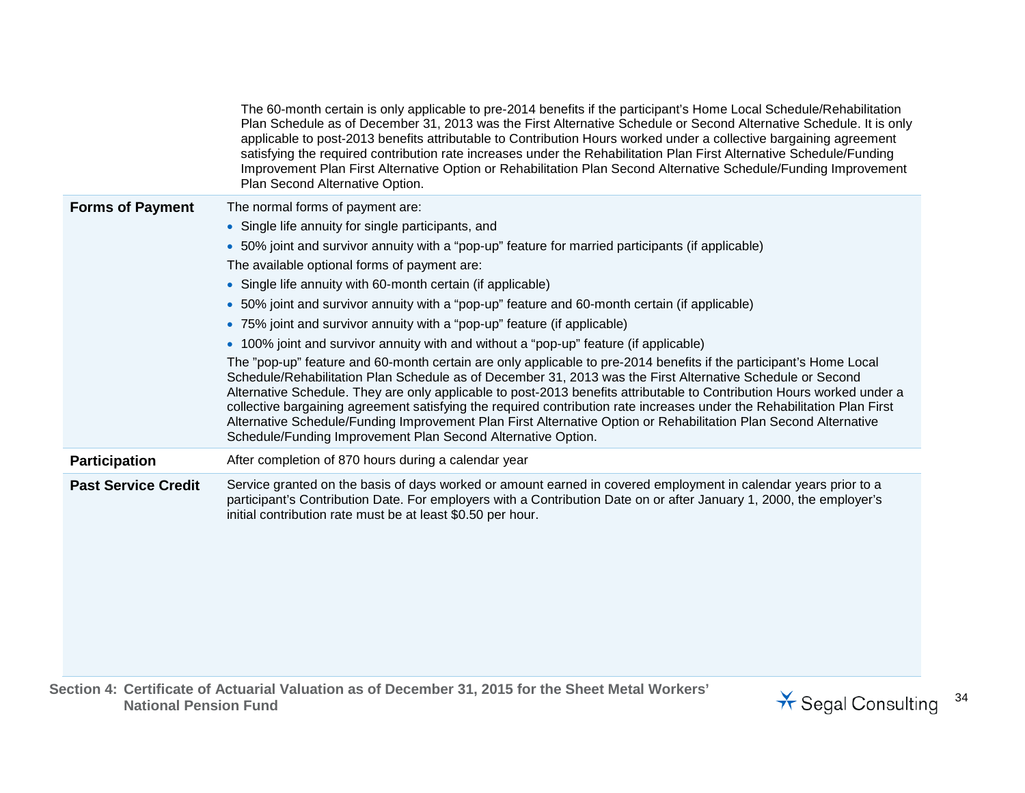|                            | The 60-month certain is only applicable to pre-2014 benefits if the participant's Home Local Schedule/Rehabilitation<br>Plan Schedule as of December 31, 2013 was the First Alternative Schedule or Second Alternative Schedule. It is only<br>applicable to post-2013 benefits attributable to Contribution Hours worked under a collective bargaining agreement<br>satisfying the required contribution rate increases under the Rehabilitation Plan First Alternative Schedule/Funding<br>Improvement Plan First Alternative Option or Rehabilitation Plan Second Alternative Schedule/Funding Improvement<br>Plan Second Alternative Option.                                                                                                                                                                                                                                                                                                                                                                                                                                                                                                                                                                                                              |
|----------------------------|---------------------------------------------------------------------------------------------------------------------------------------------------------------------------------------------------------------------------------------------------------------------------------------------------------------------------------------------------------------------------------------------------------------------------------------------------------------------------------------------------------------------------------------------------------------------------------------------------------------------------------------------------------------------------------------------------------------------------------------------------------------------------------------------------------------------------------------------------------------------------------------------------------------------------------------------------------------------------------------------------------------------------------------------------------------------------------------------------------------------------------------------------------------------------------------------------------------------------------------------------------------|
| <b>Forms of Payment</b>    | The normal forms of payment are:<br>• Single life annuity for single participants, and<br>• 50% joint and survivor annuity with a "pop-up" feature for married participants (if applicable)<br>The available optional forms of payment are:<br>• Single life annuity with 60-month certain (if applicable)<br>• 50% joint and survivor annuity with a "pop-up" feature and 60-month certain (if applicable)<br>• 75% joint and survivor annuity with a "pop-up" feature (if applicable)<br>• 100% joint and survivor annuity with and without a "pop-up" feature (if applicable)<br>The "pop-up" feature and 60-month certain are only applicable to pre-2014 benefits if the participant's Home Local<br>Schedule/Rehabilitation Plan Schedule as of December 31, 2013 was the First Alternative Schedule or Second<br>Alternative Schedule. They are only applicable to post-2013 benefits attributable to Contribution Hours worked under a<br>collective bargaining agreement satisfying the required contribution rate increases under the Rehabilitation Plan First<br>Alternative Schedule/Funding Improvement Plan First Alternative Option or Rehabilitation Plan Second Alternative<br>Schedule/Funding Improvement Plan Second Alternative Option. |
| <b>Participation</b>       | After completion of 870 hours during a calendar year                                                                                                                                                                                                                                                                                                                                                                                                                                                                                                                                                                                                                                                                                                                                                                                                                                                                                                                                                                                                                                                                                                                                                                                                          |
| <b>Past Service Credit</b> | Service granted on the basis of days worked or amount earned in covered employment in calendar years prior to a<br>participant's Contribution Date. For employers with a Contribution Date on or after January 1, 2000, the employer's<br>initial contribution rate must be at least \$0.50 per hour.                                                                                                                                                                                                                                                                                                                                                                                                                                                                                                                                                                                                                                                                                                                                                                                                                                                                                                                                                         |

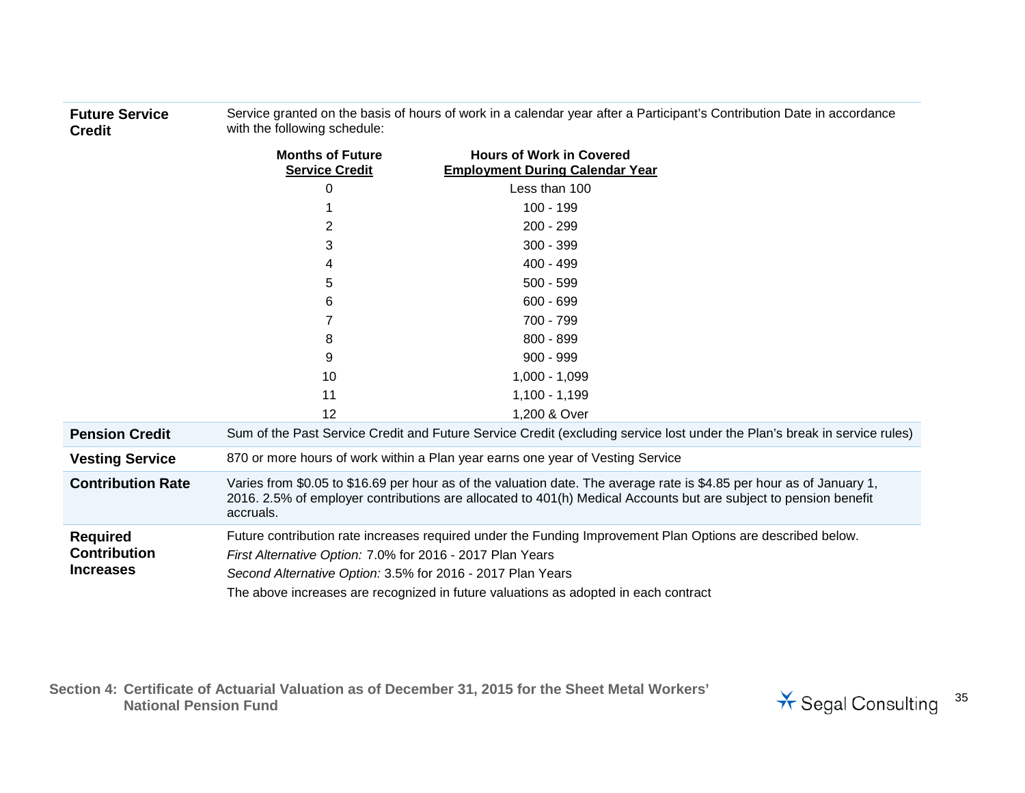**Future Service Credit** Service granted on the basis of hours of work in a calendar year after a Participant's Contribution Date in accordance with the following schedule:

|                                                            | <b>Months of Future</b><br><b>Service Credit</b>                                                                                                                                                                                                                                                                              | <b>Hours of Work in Covered</b><br><b>Employment During Calendar Year</b>                                                                                                                                                                 |
|------------------------------------------------------------|-------------------------------------------------------------------------------------------------------------------------------------------------------------------------------------------------------------------------------------------------------------------------------------------------------------------------------|-------------------------------------------------------------------------------------------------------------------------------------------------------------------------------------------------------------------------------------------|
|                                                            | 0                                                                                                                                                                                                                                                                                                                             | Less than 100                                                                                                                                                                                                                             |
|                                                            |                                                                                                                                                                                                                                                                                                                               | $100 - 199$                                                                                                                                                                                                                               |
|                                                            | 2                                                                                                                                                                                                                                                                                                                             | $200 - 299$                                                                                                                                                                                                                               |
|                                                            | 3                                                                                                                                                                                                                                                                                                                             | $300 - 399$                                                                                                                                                                                                                               |
|                                                            | 4                                                                                                                                                                                                                                                                                                                             | $400 - 499$                                                                                                                                                                                                                               |
|                                                            | 5                                                                                                                                                                                                                                                                                                                             | $500 - 599$                                                                                                                                                                                                                               |
|                                                            | 6                                                                                                                                                                                                                                                                                                                             | $600 - 699$                                                                                                                                                                                                                               |
|                                                            |                                                                                                                                                                                                                                                                                                                               | 700 - 799                                                                                                                                                                                                                                 |
|                                                            | 8                                                                                                                                                                                                                                                                                                                             | $800 - 899$                                                                                                                                                                                                                               |
|                                                            | 9                                                                                                                                                                                                                                                                                                                             | $900 - 999$                                                                                                                                                                                                                               |
|                                                            | 10                                                                                                                                                                                                                                                                                                                            | $1,000 - 1,099$                                                                                                                                                                                                                           |
|                                                            | 11                                                                                                                                                                                                                                                                                                                            | $1,100 - 1,199$                                                                                                                                                                                                                           |
|                                                            | 12                                                                                                                                                                                                                                                                                                                            | 1,200 & Over                                                                                                                                                                                                                              |
| <b>Pension Credit</b>                                      |                                                                                                                                                                                                                                                                                                                               | Sum of the Past Service Credit and Future Service Credit (excluding service lost under the Plan's break in service rules)                                                                                                                 |
| <b>Vesting Service</b>                                     |                                                                                                                                                                                                                                                                                                                               | 870 or more hours of work within a Plan year earns one year of Vesting Service                                                                                                                                                            |
| <b>Contribution Rate</b>                                   | accruals.                                                                                                                                                                                                                                                                                                                     | Varies from \$0.05 to \$16.69 per hour as of the valuation date. The average rate is \$4.85 per hour as of January 1,<br>2016. 2.5% of employer contributions are allocated to 401(h) Medical Accounts but are subject to pension benefit |
| <b>Required</b><br><b>Contribution</b><br><b>Increases</b> | Future contribution rate increases required under the Funding Improvement Plan Options are described below.<br>First Alternative Option: 7.0% for 2016 - 2017 Plan Years<br>Second Alternative Option: 3.5% for 2016 - 2017 Plan Years<br>The above increases are recognized in future valuations as adopted in each contract |                                                                                                                                                                                                                                           |

**Section 4: Certificate of Actuarial Valuation as of December 31, 2015 for the Sheet Metal Workers'** 

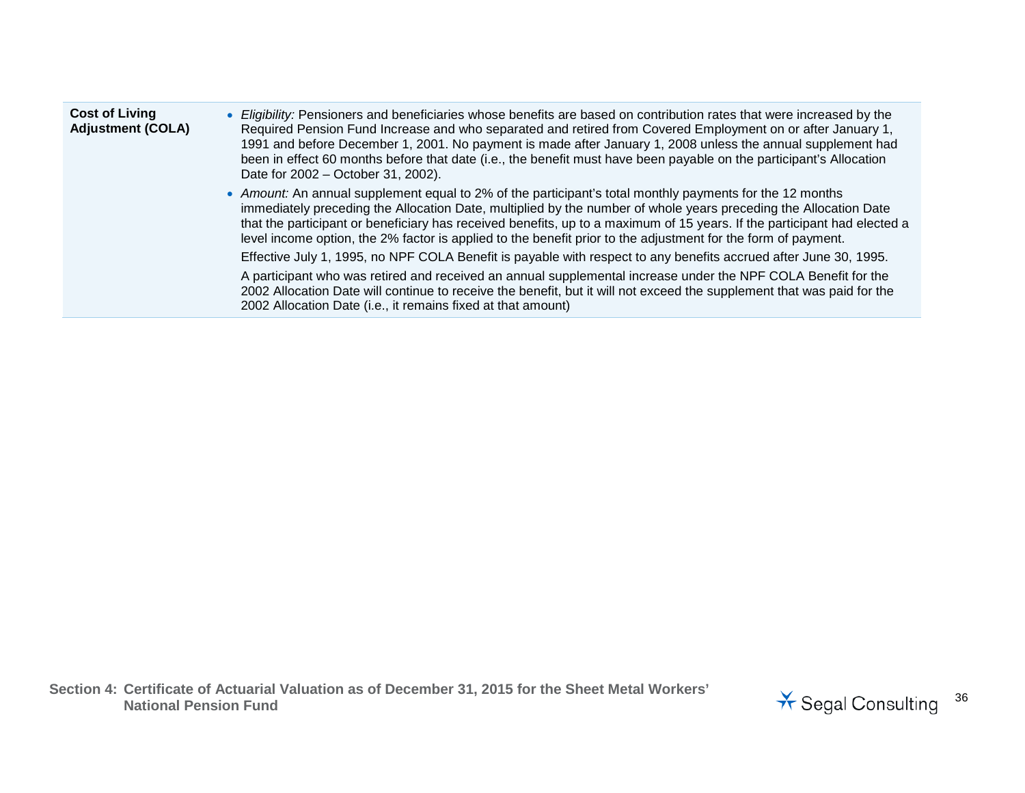| <b>Cost of Living</b><br><b>Adjustment (COLA)</b> | • Eligibility: Pensioners and beneficiaries whose benefits are based on contribution rates that were increased by the<br>Required Pension Fund Increase and who separated and retired from Covered Employment on or after January 1,<br>1991 and before December 1, 2001. No payment is made after January 1, 2008 unless the annual supplement had<br>been in effect 60 months before that date (i.e., the benefit must have been payable on the participant's Allocation<br>Date for 2002 – October 31, 2002). |
|---------------------------------------------------|------------------------------------------------------------------------------------------------------------------------------------------------------------------------------------------------------------------------------------------------------------------------------------------------------------------------------------------------------------------------------------------------------------------------------------------------------------------------------------------------------------------|
|                                                   | • Amount: An annual supplement equal to 2% of the participant's total monthly payments for the 12 months<br>immediately preceding the Allocation Date, multiplied by the number of whole years preceding the Allocation Date<br>that the participant or beneficiary has received benefits, up to a maximum of 15 years. If the participant had elected a<br>level income option, the 2% factor is applied to the benefit prior to the adjustment for the form of payment.                                        |
|                                                   | Effective July 1, 1995, no NPF COLA Benefit is payable with respect to any benefits accrued after June 30, 1995.                                                                                                                                                                                                                                                                                                                                                                                                 |
|                                                   | A participant who was retired and received an annual supplemental increase under the NPF COLA Benefit for the<br>2002 Allocation Date will continue to receive the benefit, but it will not exceed the supplement that was paid for the<br>2002 Allocation Date (i.e., it remains fixed at that amount)                                                                                                                                                                                                          |

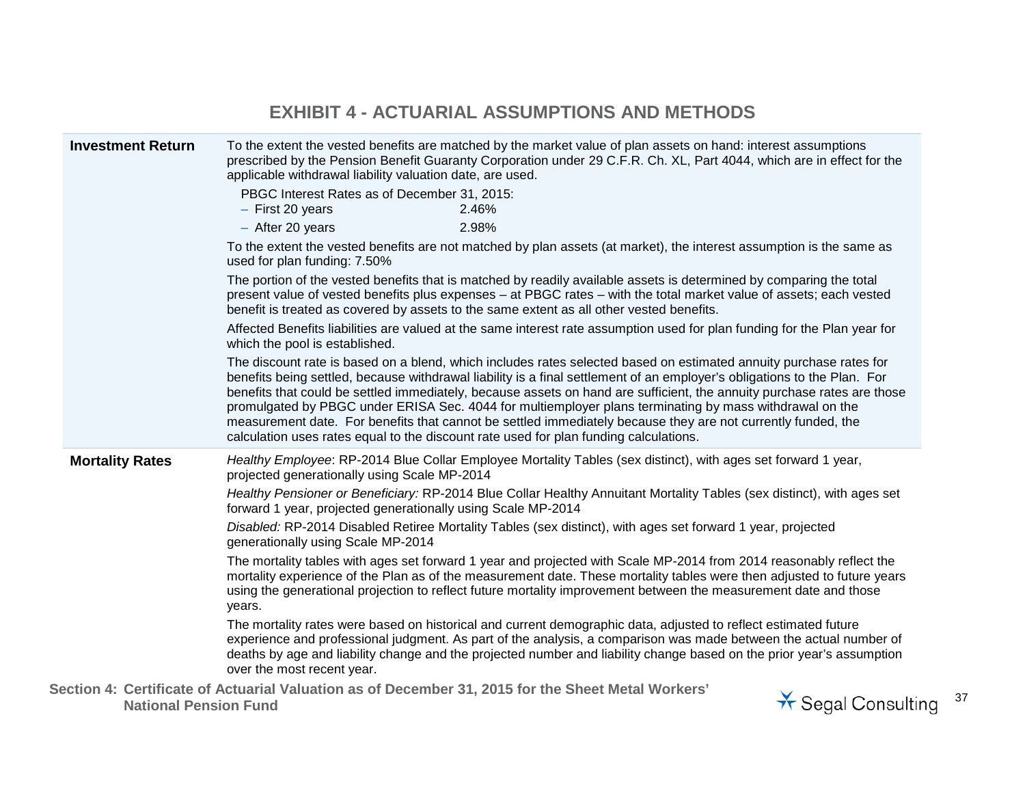### **EXHIBIT 4 - ACTUARIAL ASSUMPTIONS AND METHODS**

|  | <b>Investment Return</b>                                                                                                                                                                                                                                                                                                                                                    |                                                                                                                                                                                                                                                                                                                                        | To the extent the vested benefits are matched by the market value of plan assets on hand: interest assumptions<br>prescribed by the Pension Benefit Guaranty Corporation under 29 C.F.R. Ch. XL, Part 4044, which are in effect for the<br>applicable withdrawal liability valuation date, are used.                                                                                                                                                                                                                                                                                                                                                                                          |                    |    |  |
|--|-----------------------------------------------------------------------------------------------------------------------------------------------------------------------------------------------------------------------------------------------------------------------------------------------------------------------------------------------------------------------------|----------------------------------------------------------------------------------------------------------------------------------------------------------------------------------------------------------------------------------------------------------------------------------------------------------------------------------------|-----------------------------------------------------------------------------------------------------------------------------------------------------------------------------------------------------------------------------------------------------------------------------------------------------------------------------------------------------------------------------------------------------------------------------------------------------------------------------------------------------------------------------------------------------------------------------------------------------------------------------------------------------------------------------------------------|--------------------|----|--|
|  |                                                                                                                                                                                                                                                                                                                                                                             | PBGC Interest Rates as of December 31, 2015:<br>$-$ First 20 years                                                                                                                                                                                                                                                                     | 2.46%                                                                                                                                                                                                                                                                                                                                                                                                                                                                                                                                                                                                                                                                                         |                    |    |  |
|  |                                                                                                                                                                                                                                                                                                                                                                             | - After 20 years                                                                                                                                                                                                                                                                                                                       | 2.98%                                                                                                                                                                                                                                                                                                                                                                                                                                                                                                                                                                                                                                                                                         |                    |    |  |
|  |                                                                                                                                                                                                                                                                                                                                                                             | used for plan funding: 7.50%                                                                                                                                                                                                                                                                                                           | To the extent the vested benefits are not matched by plan assets (at market), the interest assumption is the same as                                                                                                                                                                                                                                                                                                                                                                                                                                                                                                                                                                          |                    |    |  |
|  |                                                                                                                                                                                                                                                                                                                                                                             | The portion of the vested benefits that is matched by readily available assets is determined by comparing the total<br>present value of vested benefits plus expenses – at PBGC rates – with the total market value of assets; each vested<br>benefit is treated as covered by assets to the same extent as all other vested benefits. |                                                                                                                                                                                                                                                                                                                                                                                                                                                                                                                                                                                                                                                                                               |                    |    |  |
|  |                                                                                                                                                                                                                                                                                                                                                                             | Affected Benefits liabilities are valued at the same interest rate assumption used for plan funding for the Plan year for<br>which the pool is established.                                                                                                                                                                            |                                                                                                                                                                                                                                                                                                                                                                                                                                                                                                                                                                                                                                                                                               |                    |    |  |
|  |                                                                                                                                                                                                                                                                                                                                                                             |                                                                                                                                                                                                                                                                                                                                        | The discount rate is based on a blend, which includes rates selected based on estimated annuity purchase rates for<br>benefits being settled, because withdrawal liability is a final settlement of an employer's obligations to the Plan. For<br>benefits that could be settled immediately, because assets on hand are sufficient, the annuity purchase rates are those<br>promulgated by PBGC under ERISA Sec. 4044 for multiemployer plans terminating by mass withdrawal on the<br>measurement date. For benefits that cannot be settled immediately because they are not currently funded, the<br>calculation uses rates equal to the discount rate used for plan funding calculations. |                    |    |  |
|  | <b>Mortality Rates</b>                                                                                                                                                                                                                                                                                                                                                      | projected generationally using Scale MP-2014                                                                                                                                                                                                                                                                                           | Healthy Employee: RP-2014 Blue Collar Employee Mortality Tables (sex distinct), with ages set forward 1 year,                                                                                                                                                                                                                                                                                                                                                                                                                                                                                                                                                                                 |                    |    |  |
|  |                                                                                                                                                                                                                                                                                                                                                                             | Healthy Pensioner or Beneficiary: RP-2014 Blue Collar Healthy Annuitant Mortality Tables (sex distinct), with ages set<br>forward 1 year, projected generationally using Scale MP-2014                                                                                                                                                 |                                                                                                                                                                                                                                                                                                                                                                                                                                                                                                                                                                                                                                                                                               |                    |    |  |
|  |                                                                                                                                                                                                                                                                                                                                                                             | generationally using Scale MP-2014                                                                                                                                                                                                                                                                                                     | Disabled: RP-2014 Disabled Retiree Mortality Tables (sex distinct), with ages set forward 1 year, projected                                                                                                                                                                                                                                                                                                                                                                                                                                                                                                                                                                                   |                    |    |  |
|  | The mortality tables with ages set forward 1 year and projected with Scale MP-2014 from 2014 reasonably reflect the<br>mortality experience of the Plan as of the measurement date. These mortality tables were then adjusted to future years<br>using the generational projection to reflect future mortality improvement between the measurement date and those<br>years. |                                                                                                                                                                                                                                                                                                                                        |                                                                                                                                                                                                                                                                                                                                                                                                                                                                                                                                                                                                                                                                                               |                    |    |  |
|  |                                                                                                                                                                                                                                                                                                                                                                             | over the most recent year.                                                                                                                                                                                                                                                                                                             | The mortality rates were based on historical and current demographic data, adjusted to reflect estimated future<br>experience and professional judgment. As part of the analysis, a comparison was made between the actual number of<br>deaths by age and liability change and the projected number and liability change based on the prior year's assumption                                                                                                                                                                                                                                                                                                                                 |                    |    |  |
|  | <b>National Pension Fund</b>                                                                                                                                                                                                                                                                                                                                                |                                                                                                                                                                                                                                                                                                                                        | Section 4: Certificate of Actuarial Valuation as of December 31, 2015 for the Sheet Metal Workers'                                                                                                                                                                                                                                                                                                                                                                                                                                                                                                                                                                                            | * Segal Consulting | 37 |  |

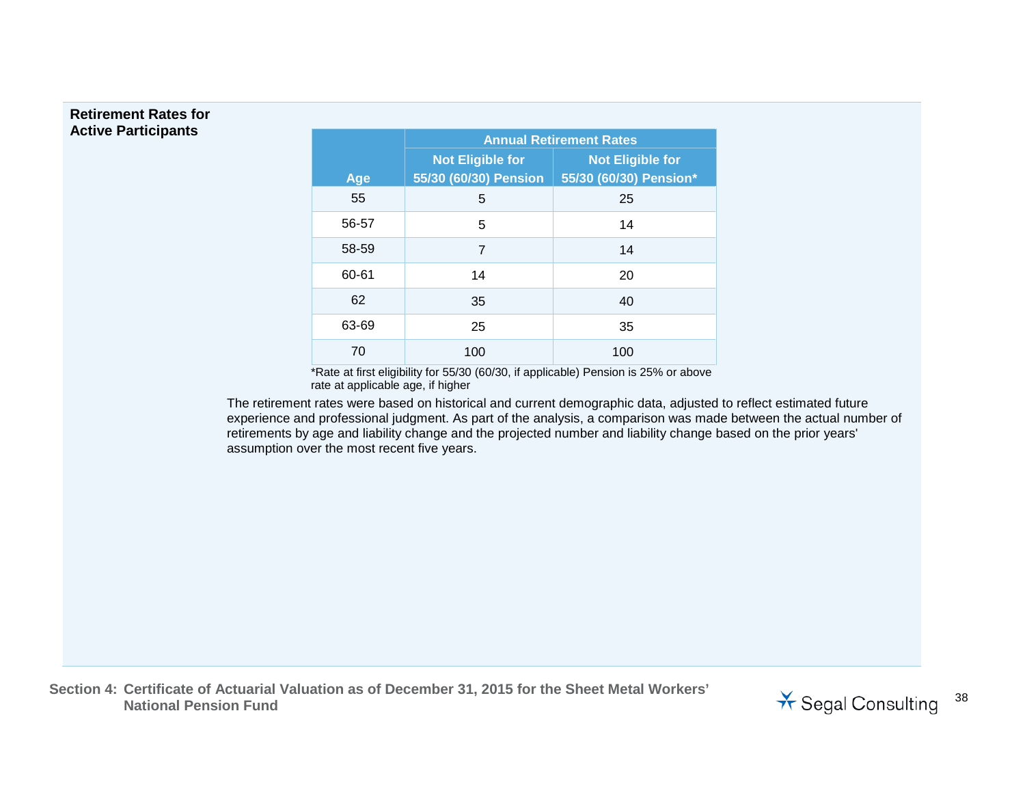#### **Retirement Rates for Active Participants**

|       | <b>Annual Retirement Rates</b> |                         |  |
|-------|--------------------------------|-------------------------|--|
|       | <b>Not Eligible for</b>        | <b>Not Eligible for</b> |  |
| Age   | 55/30 (60/30) Pension          | 55/30 (60/30) Pension*  |  |
| 55    | 5                              | 25                      |  |
| 56-57 | 5                              | 14                      |  |
| 58-59 | 7                              | 14                      |  |
| 60-61 | 14                             | 20                      |  |
| 62    | 35                             | 40                      |  |
| 63-69 | 25                             | 35                      |  |
| 70    | 100                            | 100                     |  |

\*Rate at first eligibility for 55/30 (60/30, if applicable) Pension is 25% or above rate at applicable age, if higher

The retirement rates were based on historical and current demographic data, adjusted to reflect estimated future experience and professional judgment. As part of the analysis, a comparison was made between the actual number of retirements by age and liability change and the projected number and liability change based on the prior years' assumption over the most recent five years.

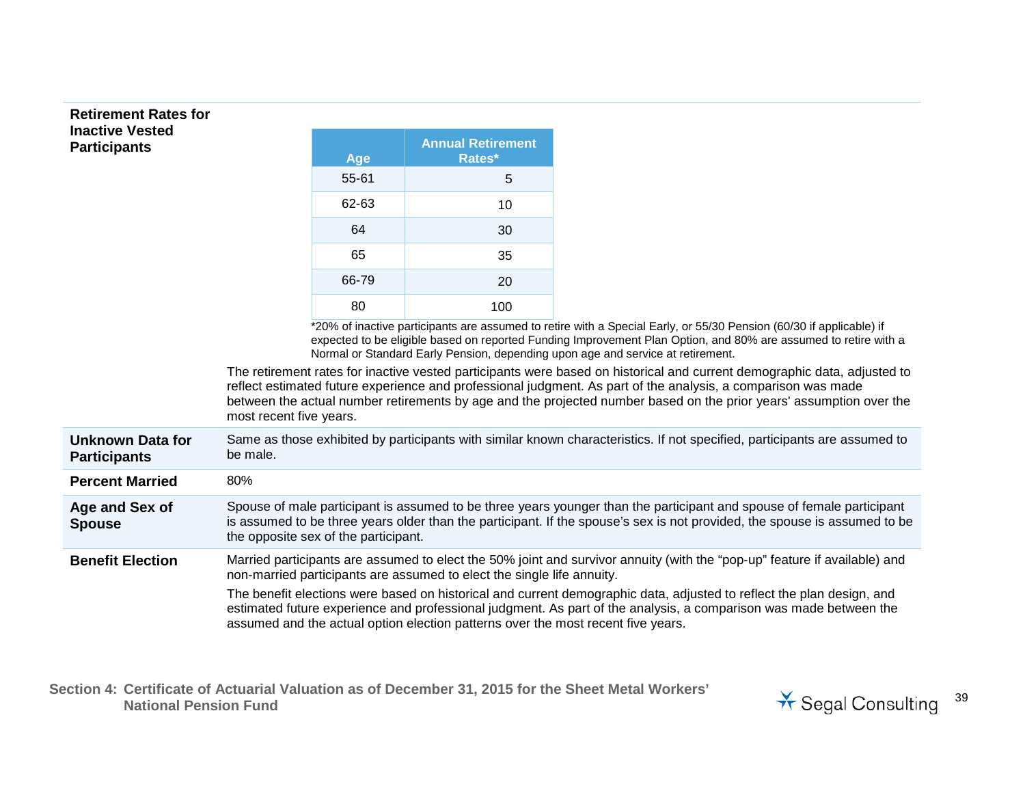#### **Retirement Rates for Inactive Vested Participants**

| Age   | <b>Annual Retirement</b><br>Rates* |
|-------|------------------------------------|
| 55-61 | 5                                  |
| 62-63 | 10                                 |
| 64    | 30                                 |
| 65    | 35                                 |
| 66-79 | 20                                 |
| 80    | 100                                |

\*20% of inactive participants are assumed to retire with a Special Early, or 55/30 Pension (60/30 if applicable) if expected to be eligible based on reported Funding Improvement Plan Option, and 80% are assumed to retire with a Normal or Standard Early Pension, depending upon age and service at retirement.

The retirement rates for inactive vested participants were based on historical and current demographic data, adjusted to reflect estimated future experience and professional judgment. As part of the analysis, a comparison was made between the actual number retirements by age and the projected number based on the prior years' assumption over the most recent five years.

**Unknown Data for Participants** Same as those exhibited by participants with similar known characteristics. If not specified, participants are assumed to be male. **Percent Married** 80% **Age and Sex of**  Spouse of male participant is assumed to be three years younger than the participant and spouse of female participant

**Spouse** is assumed to be three years older than the participant. If the spouse's sex is not provided, the spouse is assumed to be the opposite sex of the participant.

**Benefit Election** Married participants are assumed to elect the 50% joint and survivor annuity (with the "pop-up" feature if available) and non-married participants are assumed to elect the single life annuity.

> The benefit elections were based on historical and current demographic data, adjusted to reflect the plan design, and estimated future experience and professional judgment. As part of the analysis, a comparison was made between the assumed and the actual option election patterns over the most recent five years.